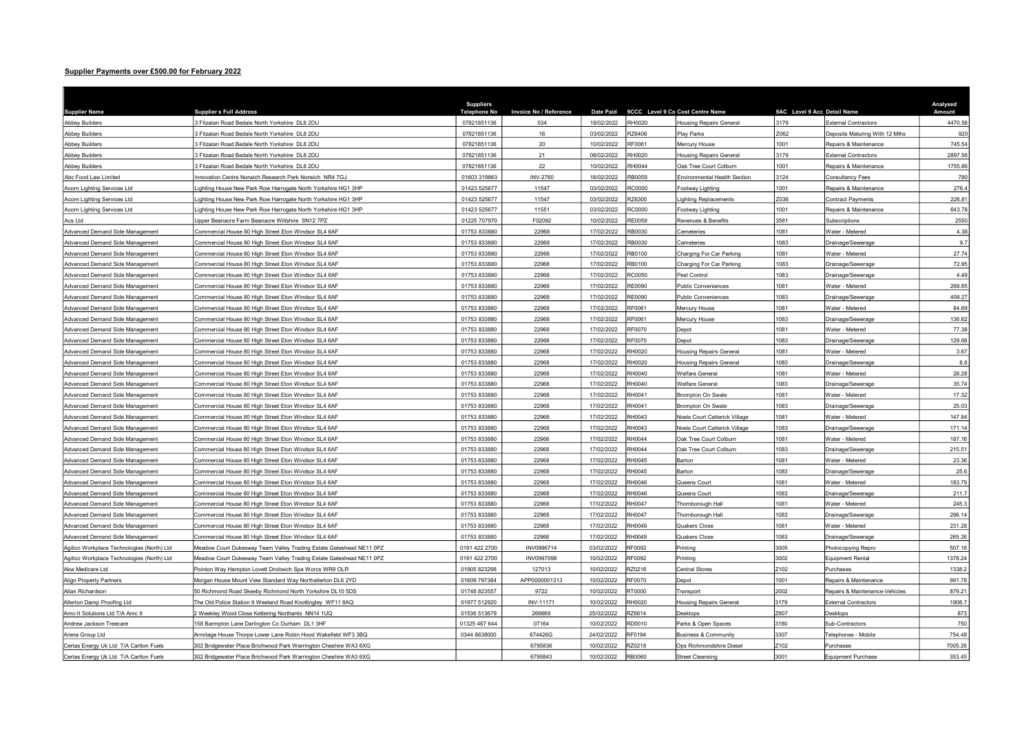## Supplier Payments over £500.00 for February 2022

| <b>Supplier Name</b>                       | <b>Supplier s Full Address</b>                                      | <b>Suppliers</b><br><b>Telephone No</b> | Invoice No / Reference | <b>Date Paid</b> |               | 9CCC Level 9 Co Cost Centre Name     | 9AC Level 9 Acc Detail Name |                                | Analysed<br>Amount |
|--------------------------------------------|---------------------------------------------------------------------|-----------------------------------------|------------------------|------------------|---------------|--------------------------------------|-----------------------------|--------------------------------|--------------------|
| <b>Abbey Builders</b>                      | 3 Fitzalan Road Bedale North Yorkshire DL8 2DU                      | 07821851136                             | 034                    | 18/02/2022       | <b>RH0020</b> | <b>Housing Repairs General</b>       | 3179                        | <b>External Contractors</b>    | 4470.56            |
| <b>Abbey Builders</b>                      | 3 Fitzalan Road Bedale North Yorkshire DL8 2DU                      | 07821851136                             | 16                     | 03/02/2022       | RZ6406        | Play Parks                           | Z062                        | Deposits Maturing With 12 Mths | 920                |
| <b>Abbey Builders</b>                      | 3 Fitzalan Road Bedale North Yorkshire DL8 2DU                      | 07821851136                             | 20                     | 10/02/2022       | RF0061        | Mercury House                        | 1001                        | Repairs & Maintenance          | 745.54             |
| <b>Abbey Builders</b>                      | 3 Fitzalan Road Bedale North Yorkshire DL8 2DU                      | 07821851136                             | 21                     | 08/02/2022       | RH0020        | <b>Housing Repairs General</b>       | 3179                        | <b>External Contractors</b>    | 2897.56            |
| <b>Abbey Builders</b>                      | 3 Fitzalan Road Bedale North Yorkshire DL8 2DU                      | 07821851136                             | 22                     | 10/02/2022       | RH0044        | Oak Tree Court Colburn               | 1001                        | Repairs & Maintenance          | 1755.86            |
| Abc Food Law Limited                       | Innovation Centre Norwich Research Park Norwich NR4 7GJ             | 01603 319863                            | <b>INV-2760</b>        | 18/02/2022       | RB0059        | Environmental Health Section         | 3124                        | Consultancy Fees               | 780                |
| Acorn Lighting Services Ltd                | ighting House New Park Row Harrogate North Yorkshire HG1 3HP        | 01423 525677                            | 11547                  | 03/02/2022       | RC0000        | ootway Lighting                      | 001                         | Repairs & Maintenance          | 276.4              |
| Acorn Lighting Services Ltd                | Lighting House New Park Row Harrogate North Yorkshire HG1 3HP       | 01423 525677                            | 11547                  | 03/02/2022       | RZ6300        | ighting Replacements                 | Z036                        | Contract Payments              | 226.81             |
| Acorn Lighting Services Ltd                | Lighting House New Park Row Harrogate North Yorkshire HG1 3HP       | 01423 525677                            | 11551                  | 03/02/2022       | RC0000        | Footway Lighting                     | 1001                        | Repairs & Maintenance          | 643.78             |
| Acs Ltd                                    | Upper Beanacre Farm Beanacre Wiltshire SN12 7PZ                     | 01225 707970                            | F02092                 | 10/02/2022       | <b>RE0059</b> | Revenues & Benefits                  | 3561                        | Subscriptions                  | 2550               |
| Advanced Demand Side Management            | Commercial House 80 High Street Eton Windsor SL4 6AF                | 01753 833880                            | 22968                  | 17/02/2022       | RB0030        | Cemeteries                           | 1081                        | Water - Metered                | 4.38               |
| Advanced Demand Side Management            | Commercial House 80 High Street Eton Windsor SL4 6AF                | 01753 833880                            | 22968                  | 17/02/2022       | RB0030        | Cemeteries                           | 1083                        | Orainage/Sewerage              | 9.7                |
| Advanced Demand Side Management            | Commercial House 80 High Street Eton Windsor SL4 6AF                | 01753 833880                            | 22968                  | 17/02/2022       | RB0100        | Charging For Car Parking             | 081                         | Vater - Metered                | 27.74              |
| Advanced Demand Side Management            | Commercial House 80 High Street Eton Windsor SL4 6AF                | 01753 833880                            | 22968                  | 17/02/2022       | <b>RB0100</b> | Charging For Car Parking             | 083                         | Orainage/Sewerage              | 72.95              |
| Advanced Demand Side Management            | Commercial House 80 High Street Eton Windsor SL4 6AF                | 01753 833880                            | 22968                  | 17/02/2022       | RC0050        | Pest Control                         | 1083                        | Orainage/Sewerage              | 4.49               |
| Advanced Demand Side Management            | Commercial House 80 High Street Eton Windsor SL4 6AF                | 01753 833880                            | 22968                  | 17/02/2022       | <b>RE0090</b> | <b>Public Conveniences</b>           | 1081                        | Water - Metered                | 268.65             |
| Advanced Demand Side Management            | Commercial House 80 High Street Eton Windsor SL4 6AF                | 01753 833880                            | 22968                  | 17/02/2022       | RE0090        | Public Conveniences                  | 1083                        | Drainage/Sewerage              | 409.27             |
| Advanced Demand Side Management            | Commercial House 80 High Street Eton Windsor SL4 6AF                | 01753 833880                            | 22968                  | 17/02/2022       | RF0061        | Mercury House                        | 1081                        | <b>Nater - Metered</b>         | 84.69              |
| Advanced Demand Side Management            | Commercial House 80 High Street Eton Windsor SL4 6AF                | 01753 833880                            | 22968                  | 17/02/2022       | RF0061        | Mercury House                        | 1083                        | Orainage/Sewerage              | 136.62             |
| Advanced Demand Side Management            | Commercial House 80 High Street Eton Windsor SL4 6AF                | 01753 833880                            | 22968                  | 17/02/2022       | <b>RF0070</b> | Depot                                | 081                         | Vater - Metered                | 77.38              |
| Advanced Demand Side Management            | Commercial House 80 High Street Eton Windsor SL4 6AF                | 01753 833880                            | 22968                  | 17/02/2022       | RF0070        | Depot                                | 083                         | Orainage/Sewerage              | 129.68             |
| Advanced Demand Side Management            | Commercial House 80 High Street Eton Windsor SL4 6AF                | 01753 833880                            | 22968                  | 17/02/2022       | RH0020        | <b>Housing Repairs General</b>       | 1081                        | Water - Metered                | 3.67               |
| Advanced Demand Side Management            | Commercial House 80 High Street Eton Windsor SL4 6AF                | 01753 833880                            | 22968                  | 17/02/2022       | <b>RH0020</b> | <b>Housing Repairs General</b>       | 1083                        | Drainage/Sewerage              | 8.8                |
| Advanced Demand Side Management            | Commercial House 80 High Street Eton Windsor SL4 6AF                | 01753 833880                            | 22968                  | 17/02/2022       | RH0040        | <b>Velfare General</b>               | 1081                        | Vater - Metered                | 26.28              |
| Advanced Demand Side Management            | Commercial House 80 High Street Eton Windsor SL4 6AF                | 01753 833880                            | 22968                  | 17/02/2022       | <b>RH0040</b> | <b>Velfare General</b>               | 1083                        | Drainage/Sewerage              | 35.74              |
| Advanced Demand Side Management            | Commercial House 80 High Street Eton Windsor SL4 6AF                | 01753 833880                            | 22968                  | 17/02/2022       | RH0041        | Brompton On Swale                    | 081                         | Nater - Metered                | 17.32              |
| Advanced Demand Side Management            | Commercial House 80 High Street Eton Windsor SL4 6AF                | 01753 833880                            | 22968                  | 17/02/2022       | RH0041        | <b>Brompton On Swale</b>             | 083                         | Drainage/Sewerage              | 25.03              |
| Advanced Demand Side Management            | Commercial House 80 High Street Eton Windsor SL4 6AF                | 01753 833880                            | 22968                  | 17/02/2022       | RH0043        | <b>Voels Court Catterick Village</b> | 081                         | Vater - Metered                | 147.84             |
| Advanced Demand Side Management            | Commercial House 80 High Street Eton Windsor SL4 6AF                | 01753 833880                            | 22968                  | 17/02/2022       | RH0043        | <b>Noels Court Catterick Village</b> | 1083                        | Drainage/Sewerag               | 171.14             |
| Advanced Demand Side Management            | Commercial House 80 High Street Eton Windsor SL4 6AF                | 01753 833880                            | 22968                  | 17/02/2022       | <b>RH0044</b> | Oak Tree Court Colburn               | 1081                        | Water - Metered                | 187.16             |
| Advanced Demand Side Management            | Commercial House 80 High Street Eton Windsor SL4 6AF                | 01753 833880                            | 22968                  | 17/02/2022       | <b>RH0044</b> | Oak Tree Court Colburn               | 1083                        | Drainage/Sewerage              | 215.51             |
| Advanced Demand Side Management            | Commercial House 80 High Street Eton Windsor SL4 6AF                | 01753 833880                            | 22968                  | 17/02/2022       | <b>RH0045</b> | <b>Barton</b>                        | 1081                        | Water - Metered                | 23.36              |
| Advanced Demand Side Management            | Commercial House 80 High Street Eton Windsor SL4 6AF                | 01753 833880                            | 22968                  | 17/02/2022       | RH0045        | <b>Barton</b>                        | 083                         | Drainage/Sewerage              | 25.6               |
| Advanced Demand Side Management            | Commercial House 80 High Street Eton Windsor SL4 6AF                | 01753 833880                            | 22968                  | 17/02/2022       | <b>RH0046</b> | Queens Court                         | 1081                        | <b>Nater - Metered</b>         | 183.79             |
| Advanced Demand Side Management            | Commercial House 80 High Street Eton Windsor SL4 6AF                | 01753 833880                            | 22968                  | 17/02/2022       | RH0046        | Queens Court                         | 083                         | Orainage/Sewerage              | 211.7              |
| Advanced Demand Side Management            | Commercial House 80 High Street Eton Windsor SL4 6AF                | 01753 833880                            | 22968                  | 17/02/2022       | <b>RH0047</b> | Thornborough Hall                    | 1081                        | Water - Metered                | 245.3              |
| Advanced Demand Side Management            | Commercial House 80 High Street Eton Windsor SL4 6AF                | 01753 833880                            | 22968                  | 17/02/2022       | RH0047        | Thornborough Hall                    | 1083                        | Drainage/Sewerage              | 296.14             |
| Advanced Demand Side Management            | Commercial House 80 High Street Eton Windsor SL4 6AF                | 01753 833880                            | 22968                  | 17/02/2022       | RH0049        | Quakers Close                        | 1081                        | Water - Metered                | 231.28             |
| Advanced Demand Side Management            | Commercial House 80 High Street Eton Windsor SL4 6AF                | 01753 833880                            | 22968                  | 17/02/2022       | RH0049        | Quakers Close                        | 1083                        | Drainage/Sewerage              | 265.26             |
| Agilico Workplace Technologies (North) Ltd | Meadow Court Dukesway Team Valley Trading Estate Gateshead NE11 0PZ | 0191 422 2700                           | INV0996714             | 03/02/2022       | RF0092        | Printing                             | 3005                        | hotocopying Repro              | 507.18             |
| Agilico Workplace Technologies (North) Ltd | Meadow Court Dukesway Team Valley Trading Estate Gateshead NE11 0PZ | 0191 422 2700                           | INV0997098             | 10/02/2022       | <b>RF0092</b> | Printing                             | 3002                        | Equipment Rental               | 1378.24            |
| Akw Medicare Ltd                           | Pointon Way Hampton Lovett Droitwich Spa Worcs WR9 OLR              | 01905 823298                            | 127013                 | 10/02/2022       | RZ0216        | <b>Central Stores</b>                | Z <sub>102</sub>            | urchases                       | 1338.2             |
| Align Property Partners                    | Morgan House Mount View Standard Way Northallerton DL6 2YD          | 01609 797384                            | APP0000001313          | 10/02/2022       | <b>RF0070</b> | epot                                 | 1001                        | Repairs & Maintenance          | 991.78             |
| Allan Richardson                           | 50 Richmond Road Skeeby Richmond North Yorkshire DL10 5DS           | 01748 823557                            | 9722                   | 10/02/2022       | RT0000        | ransport                             | 2002                        | Repairs & Maintenance-Vehicles | 879.21             |
| Allerton Damp Proofing Ltd                 | The Old Police Station 9 Weeland Road Knottingley WF11 8AQ          | 01977 512920                            | INV-11171              | 10/02/2022       | RH0020        | lousing Repairs General              | 3179                        | <b>External Contractors</b>    | 1908.7             |
| Amc-It Solutions Ltd T/A Amc It            | 2 Weekley Wood Close Kettering Northants NN14 1UQ                   | 01536 513679                            | 266669                 | 25/02/2022       | RZ6814        | <b>Desktops</b>                      | Z607                        | <b>Desktops</b>                | 873                |
| Andrew Jackson Treecare                    | 158 Barmpton Lane Darlington Co Durham DL1 3HF                      | 01325 467 644                           | 07164                  | 10/02/2022       | RD0010        | Parks & Open Spaces                  | 3180                        | Sub-Contractors                | 750                |
| Arena Group Ltd                            | Armitage House Thorpe Lower Lane Robin Hood Wakefield WF3 3BQ       | 0344 8638000                            | 674426G                | 24/02/2022       | RF0194        | <b>Business &amp; Community</b>      | 3307                        | elephones - Mobile             | 754.48             |
| Certas Energy Uk Ltd T/A Carlton Fuels     | 302 Bridgewater Place Brichwood Park Warrington Cheshire WA3 6XG    |                                         | 6795836                | 10/02/2022       | RZ0218        | ps Richmondshire Diese               | Z102                        | <b>Purchases</b>               | 7005.26            |
| Certas Energy Uk Ltd T/A Carlton Fuels     | 302 Bridgewater Place Brichwood Park Warrington Cheshire WA3 6XG    |                                         | 6795843                | 10/02/2022       | <b>RB0060</b> | <b>Street Cleansing</b>              | 3001                        | <b>Equipment Purchase</b>      | 353.45             |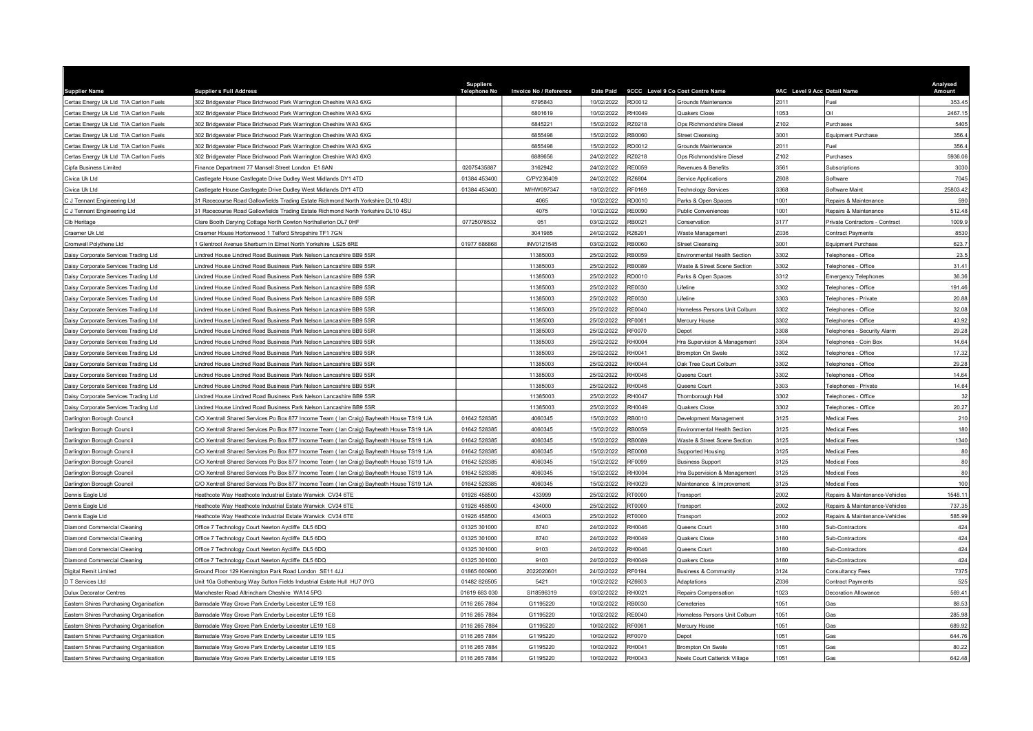| <b>Supplier Name</b>                                     | <b>Supplier s Full Address</b>                                                                                                                                                      | <b>Suppliers</b><br><b>Telephone No</b> | Invoice No / Reference | <b>Date Paid</b>         |                  | 9CCC Level 9 Co Cost Centre Name                             | 9AC Level 9 Acc Detail Name |                                     | Analysed<br>Amount |
|----------------------------------------------------------|-------------------------------------------------------------------------------------------------------------------------------------------------------------------------------------|-----------------------------------------|------------------------|--------------------------|------------------|--------------------------------------------------------------|-----------------------------|-------------------------------------|--------------------|
| Certas Energy Uk Ltd T/A Carlton Fuels                   | 302 Bridgewater Place Brichwood Park Warrington Cheshire WA3 6XG                                                                                                                    |                                         | 6795843                | 10/02/2022               | RD0012           | Grounds Maintenance                                          | 2011                        | Fuel                                | 353.45             |
| Certas Energy Uk Ltd T/A Carlton Fuels                   | 302 Bridgewater Place Brichwood Park Warrington Cheshire WA3 6XG                                                                                                                    |                                         | 6801619                | 10/02/2022               | RH0049           | Quakers Close                                                | 1053                        | ٦il                                 | 2467.15            |
| Certas Energy Uk Ltd T/A Carlton Fuels                   | 302 Bridgewater Place Brichwood Park Warrington Cheshire WA3 6XG                                                                                                                    |                                         | 6845221                | 15/02/2022               | RZ0218           | Ops Richmondshire Diese                                      | Z102                        | Purchases                           | 5405               |
| Certas Energy Uk Ltd T/A Carlton Fuels                   | 802 Bridgewater Place Brichwood Park Warrington Cheshire WA3 6XG                                                                                                                    |                                         | 6855498                | 15/02/2022               | RB0060           | <b>Street Cleansing</b>                                      | 3001                        | Equipment Purchase                  | 356.4              |
| Certas Energy Uk Ltd T/A Carlton Fuels                   | 302 Bridgewater Place Brichwood Park Warrington Cheshire WA3 6XG                                                                                                                    |                                         | 6855498                | 15/02/2022               | RD0012           | Grounds Maintenance                                          | 2011                        | Fuel                                | 356.4              |
| Certas Energy Uk Ltd T/A Carlton Fuels                   | 802 Bridgewater Place Brichwood Park Warrington Cheshire WA3 6XG                                                                                                                    |                                         | 6889656                | 24/02/2022               | RZ0218           | Ops Richmondshire Diese                                      | Z102                        | Purchases                           | 5936.06            |
| Cipfa Business Limited                                   | Finance Department 77 Mansell Street London E1 8AN                                                                                                                                  | 02075435887                             | 3162942                | 24/02/2022               | <b>RE0059</b>    | Revenues & Benefits                                          | 3561                        | <b>Subscriptions</b>                | 3030               |
| Civica Uk Ltd                                            | Castlegate House Castlegate Drive Dudley West Midlands DY1 4TD                                                                                                                      | 01384 453400                            | C/PY236409             | 24/02/2022               | RZ6804           | Service Applications                                         | Z608                        | Software                            | 7045               |
| Civica Uk Ltd                                            | Castlegate House Castlegate Drive Dudley West Midlands DY1 4TD                                                                                                                      | 01384 453400                            | M/HW097347             | 18/02/2022               | RF0169           | <b>Technology Services</b>                                   | 3368                        | Software Maint                      | 25803.42           |
| C J Tennant Engineering Ltd                              | 31 Racecourse Road Gallowfields Trading Estate Richmond North Yorkshire DL10 4SU                                                                                                    |                                         | 4065                   | 10/02/2022               | RD0010           | Parks & Open Spaces                                          | 1001                        | Repairs & Maintenance               | 590                |
| C J Tennant Engineering Ltd                              | 31 Racecourse Road Gallowfields Trading Estate Richmond North Yorkshire DL10 4SU                                                                                                    |                                         | 4075                   | 10/02/2022               | <b>RE0090</b>    | <b>Public Conveniences</b>                                   | 1001                        | Repairs & Maintenance               | 512.48             |
| Clb Heritage                                             | Clare Booth Darying Cottage North Cowton Northallerton DL7 0HF                                                                                                                      | 07725078532                             | 051                    | 03/02/2022               | RB0021           | Conservation                                                 | 3177                        | Private Contractors - Contract      | 1009.9             |
| Craemer Uk Ltd                                           | Craemer House Hortonwood 1 Telford Shropshire TF1 7GN                                                                                                                               |                                         | 3041985                | 24/02/2022               | RZ6201           | Waste Management                                             | Z036                        | Contract Payments                   | 8530               |
| Cromwell Polythene Ltd                                   | Glentrool Avenue Sherburn In Elmet North Yorkshire LS25 6RE                                                                                                                         | 01977 686868                            | INV0121545             | 03/02/2022               | <b>RB0060</b>    | <b>Street Cleansing</b>                                      | 3001                        | Equipment Purchase                  | 623.7              |
| Daisy Corporate Services Trading Ltd                     | indred House Lindred Road Business Park Nelson Lancashire BB9 5SR                                                                                                                   |                                         | 11385003               | 25/02/2022               | RB0059           | <b>Environmental Health Section</b>                          | 3302                        | <b>Telephones - Office</b>          | 23.5               |
| Daisy Corporate Services Trading Ltd                     | Lindred House Lindred Road Business Park Nelson Lancashire BB9 5SR                                                                                                                  |                                         | 11385003               | 25/02/2022               | RB0089           | Waste & Street Scene Section                                 | 3302                        | Telephones - Office                 | 31.41              |
| Daisy Corporate Services Trading Ltd                     | indred House Lindred Road Business Park Nelson Lancashire BB9 5SR                                                                                                                   |                                         | 11385003               | 25/02/2022               | RD0010           | Parks & Open Spaces                                          | 3312                        | <b>Emergency Telephones</b>         | 36.36              |
| Daisy Corporate Services Trading Ltd                     | indred House Lindred Road Business Park Nelson Lancashire BB9 5SR                                                                                                                   |                                         | 11385003               | 25/02/2022               | RE0030           | ifeline                                                      | 3302                        | <b>Telephones - Office</b>          | 191.46             |
| Daisy Corporate Services Trading Ltd                     | indred House Lindred Road Business Park Nelson Lancashire BB9 5SR                                                                                                                   |                                         | 11385003               | 25/02/2022               | <b>RE0030</b>    | ifeline                                                      | 3303                        | Telephones - Private                | 20.88              |
| Daisy Corporate Services Trading Ltd                     | indred House Lindred Road Business Park Nelson Lancashire BB9 5SR                                                                                                                   |                                         | 11385003               | 25/02/2022               | RE0040           | Homeless Persons Unit Colburn                                | 3302                        | Telephones - Office                 | 32.08              |
| Daisy Corporate Services Trading Ltd                     | indred House Lindred Road Business Park Nelson Lancashire BB9 5SR                                                                                                                   |                                         | 11385003               | 25/02/2022               | RF0061           | Mercury House                                                | 3302                        | Felephones - Office                 | 43.92              |
| Daisy Corporate Services Trading Ltd                     | indred House Lindred Road Business Park Nelson Lancashire BB9 5SR                                                                                                                   |                                         | 11385003               | 25/02/2022               | RF0070           | Depot                                                        | 3308                        | Felephones - Security Alarm         | 29.28              |
| Daisy Corporate Services Trading Ltd                     | indred House Lindred Road Business Park Nelson Lancashire BB9 5SR                                                                                                                   |                                         | 11385003               | 25/02/2022               | <b>RH0004</b>    | Hra Supervision & Management                                 | 3304                        | <b>Felephones - Coin Box</b>        | 14.64              |
| Daisy Corporate Services Trading Ltd                     | indred House Lindred Road Business Park Nelson Lancashire BB9 5SR                                                                                                                   |                                         | 11385003               | 25/02/2022               | RH0041           | <b>Brompton On Swale</b>                                     | 3302                        | Telephones - Office                 | 17.32              |
| Daisy Corporate Services Trading Ltd                     | indred House Lindred Road Business Park Nelson Lancashire BB9 5SR                                                                                                                   |                                         | 11385003               | 25/02/2022               | RH0044           | Oak Tree Court Colburn                                       | 3302                        | Felephones - Office                 | 29.28              |
| Daisy Corporate Services Trading Ltd                     | indred House Lindred Road Business Park Nelson Lancashire BB9 5SR                                                                                                                   |                                         | 11385003               | 25/02/2022               | RH0046           | Queens Court                                                 | 3302                        | Felephones - Office                 | 14.64              |
| Daisy Corporate Services Trading Ltd                     | indred House Lindred Road Business Park Nelson Lancashire BB9 5SR                                                                                                                   |                                         | 11385003               | 25/02/2022               | <b>RH0046</b>    | Queens Court                                                 | 3303                        | Felephones - Private                | 14.64              |
| Daisy Corporate Services Trading Ltd                     | indred House Lindred Road Business Park Nelson Lancashire BB9 5SR                                                                                                                   |                                         | 11385003               | 25/02/2022               | RH0047           | Thornborough Hall                                            | 3302                        | Telephones - Office                 | 32                 |
| Daisy Corporate Services Trading Ltd                     | Lindred House Lindred Road Business Park Nelson Lancashire BB9 5SR                                                                                                                  |                                         | 11385003               | 25/02/2022               | RH0049           | Quakers Close                                                | 3302                        | Telephones - Office                 | 20.27              |
| Darlington Borough Council                               | C/O Xentrall Shared Services Po Box 877 Income Team ( Ian Craig) Bayheath House TS19 1JA                                                                                            | 01642 528385                            | 4060345                | 15/02/2022               | RB0010           | Development Management                                       | 3125                        | Medical Fees                        | 210                |
|                                                          |                                                                                                                                                                                     | 01642 528385                            |                        | 15/02/2022               | RB0059           |                                                              | 3125                        |                                     | 180                |
| Darlington Borough Council                               | C/O Xentrall Shared Services Po Box 877 Income Team (Ian Craig) Bayheath House TS19 1JA<br>C/O Xentrall Shared Services Po Box 877 Income Team ( lan Craig) Bayheath House TS19 1JA | 01642 528385                            | 4060345<br>4060345     | 15/02/2022               | RB0089           | Environmental Health Section<br>Waste & Street Scene Section | 3125                        | Medical Fees<br>Medical Fees        | 1340               |
| Darlington Borough Council                               |                                                                                                                                                                                     | 01642 528385                            | 4060345                | 15/02/2022               | <b>RE0008</b>    |                                                              | 3125                        |                                     | 80                 |
| Darlington Borough Council<br>Darlington Borough Council | C/O Xentrall Shared Services Po Box 877 Income Team (Ian Craig) Bayheath House TS19 1JA                                                                                             | 01642 528385                            | 4060345                | 15/02/2022               | RF0099           | Supported Housing<br><b>Business Support</b>                 | 3125                        | <b>Medical Fees</b><br>Medical Fees | 80                 |
|                                                          | C/O Xentrall Shared Services Po Box 877 Income Team ( Ian Craig) Bayheath House TS19 1JA                                                                                            |                                         |                        |                          |                  |                                                              | 3125                        |                                     |                    |
| Darlington Borough Council                               | C/O Xentrall Shared Services Po Box 877 Income Team (Ian Craig) Bayheath House TS19 1JA                                                                                             | 01642 528385<br>01642 528385            | 4060345                | 15/02/2022<br>15/02/2022 | RH0004<br>RH0029 | Hra Supervision & Management                                 | 3125                        | Medical Fees                        | 80<br>100          |
| Darlington Borough Council                               | C/O Xentrall Shared Services Po Box 877 Income Team ( Ian Craig) Bayheath House TS19 1JA                                                                                            |                                         | 4060345                |                          |                  | Maintenance & Improvement                                    | 2002                        | Medical Fees                        |                    |
| Dennis Eagle Ltd                                         | Heathcote Way Heathcote Industrial Estate Warwick CV34 6TE                                                                                                                          | 01926 458500                            | 433999                 | 25/02/2022               | RT0000           | Transport                                                    |                             | Repairs & Maintenance-Vehicles      | 1548.11            |
| Dennis Eagle Ltd                                         | Heathcote Way Heathcote Industrial Estate Warwick CV34 6TE                                                                                                                          | 01926 458500                            | 434000                 | 25/02/2022               | RT0000           | Transport                                                    | 2002<br>2002                | Repairs & Maintenance-Vehicles      | 737.35<br>585.99   |
| Dennis Eagle Ltd                                         | Heathcote Way Heathcote Industrial Estate Warwick CV34 6TE                                                                                                                          | 01926 458500                            | 434003                 | 25/02/2022               | RT0000           | Transport                                                    |                             | Repairs & Maintenance-Vehicles      |                    |
| Diamond Commercial Cleaning                              | Office 7 Technology Court Newton Aycliffe DL5 6DQ                                                                                                                                   | 01325 301000                            | 8740                   | 24/02/2022               | RH0046           | Queens Court                                                 | 3180                        | Sub-Contractors                     | 424                |
| Diamond Commercial Cleaning                              | Office 7 Technology Court Newton Aycliffe DL5 6DQ                                                                                                                                   | 01325 301000                            | 8740                   | 24/02/2022               | RH0049           | Quakers Close                                                | 3180                        | Sub-Contractors                     | 424                |
| Diamond Commercial Cleaning                              | Office 7 Technology Court Newton Aycliffe DL5 6DQ                                                                                                                                   | 01325 301000                            | 9103                   | 24/02/2022               | RH0046           | Queens Court                                                 | 3180                        | <b>Sub-Contractors</b>              | 424                |
| Diamond Commercial Cleaning                              | Office 7 Technology Court Newton Aycliffe DL5 6DQ                                                                                                                                   | 01325 301000                            | 9103                   | 24/02/2022               | <b>RH0049</b>    | Quakers Close                                                | 3180                        | Sub-Contractors                     | 424                |
| Digital Remit Limited                                    | Ground Floor 129 Kennington Park Road London SE11 4JJ                                                                                                                               | 01865 600906                            | 2022020601             | 24/02/2022               | RF0194           | <b>Business &amp; Community</b>                              | 3124                        | Consultancy Fees                    | 7375               |
| D T Services Ltd                                         | Jnit 10a Gothenburg Way Sutton Fields Industrial Estate Hull HU7 0YG                                                                                                                | 01482 826505                            | 5421                   | 10/02/2022               | RZ6603           | Adaptations                                                  | Z036                        | Contract Payments                   | 525                |
| <b>Dulux Decorator Centres</b>                           | Manchester Road Altrincham Cheshire WA14 5PG                                                                                                                                        | 01619 683 030                           | SI18596319             | 03/02/2022               | RH0021           | Repairs Compensation                                         | 1023                        | Decoration Allowance                | 569.41             |
| Eastern Shires Purchasing Organisation                   | Barnsdale Way Grove Park Enderby Leicester LE19 1ES                                                                                                                                 | 0116 265 7884                           | G1195220               | 10/02/2022               | <b>RB0030</b>    | Cemeteries                                                   | 1051                        | Gas                                 | 88.53              |
| Eastern Shires Purchasing Organisation                   | Barnsdale Way Grove Park Enderby Leicester LE19 1ES                                                                                                                                 | 0116 265 7884                           | G1195220               | 10/02/2022               | <b>RE0040</b>    | Iomeless Persons Unit Colburn                                | 1051                        | Gas                                 | 285.98             |
| Eastern Shires Purchasing Organisation                   | Barnsdale Way Grove Park Enderby Leicester LE19 1ES                                                                                                                                 | 0116 265 7884                           | G1195220               | 10/02/2022               | RF0061           | Mercury House                                                | 051                         | Gas                                 | 689.92             |
| Eastern Shires Purchasing Organisation                   | Barnsdale Way Grove Park Enderby Leicester LE19 1ES                                                                                                                                 | 0116 265 7884                           | G1195220               | 10/02/2022               | RF0070           | Depot                                                        | 1051                        | Gas                                 | 644.76             |
| Eastern Shires Purchasing Organisation                   | Barnsdale Way Grove Park Enderby Leicester LE19 1ES                                                                                                                                 | 0116 265 7884                           | G1195220               | 10/02/2022               | RH0041           | <b>Brompton On Swale</b>                                     | 1051                        | Gas                                 | 80.22              |
| Eastern Shires Purchasing Organisation                   | Barnsdale Way Grove Park Enderby Leicester LE19 1ES                                                                                                                                 | 0116 265 7884                           | G1195220               | 10/02/2022               | RH0043           | Noels Court Catterick Village                                | 1051                        | Gas                                 | 642.48             |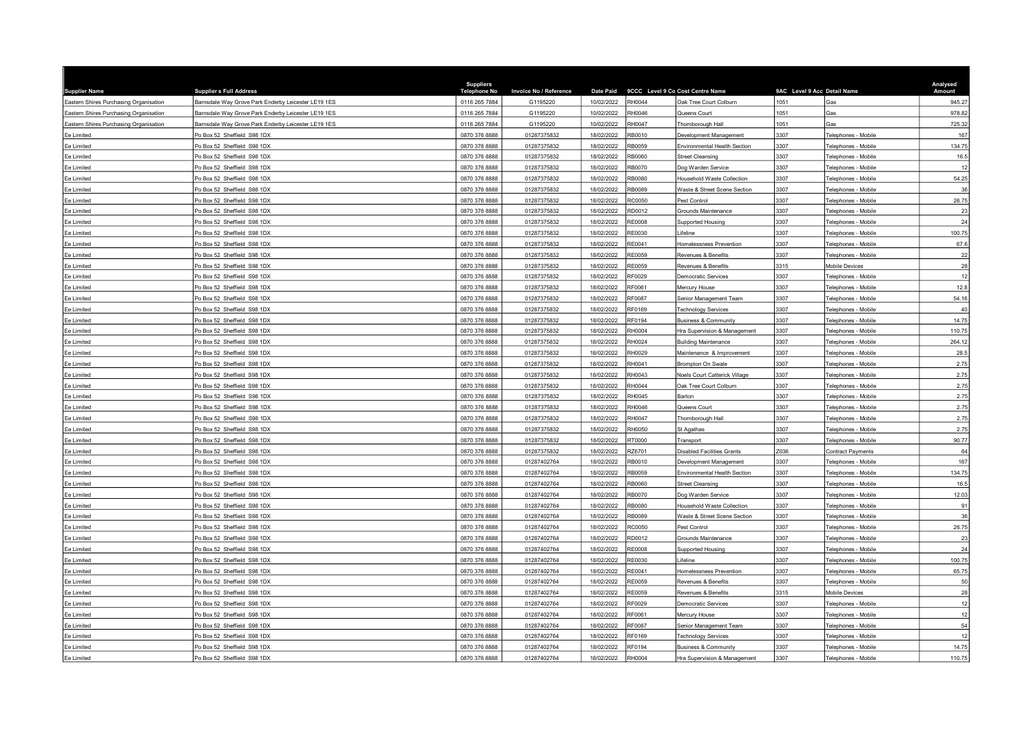| <b>Supplier Name</b>                   | <b>Supplier s Full Address</b>                      | <b>Suppliers</b><br><b>Telephone No</b> | Invoice No / Reference | <b>Date Paid</b> |               | 9CCC Level 9 Co Cost Centre Name     | 9AC Level 9 Acc Detail Name |                            | Analysed<br>Amount |
|----------------------------------------|-----------------------------------------------------|-----------------------------------------|------------------------|------------------|---------------|--------------------------------------|-----------------------------|----------------------------|--------------------|
| Eastern Shires Purchasing Organisation | Barnsdale Way Grove Park Enderby Leicester LE19 1ES | 0116 265 7884                           | G1195220               | 10/02/2022       | RH0044        | Oak Tree Court Colburn               | 1051                        | Gas                        | 945.27             |
| Eastern Shires Purchasing Organisation | Barnsdale Way Grove Park Enderby Leicester LE19 1ES | 0116 265 7884                           | G1195220               | 10/02/2022       | RH0046        | Queens Court                         | 1051                        | Gas                        | 978.82             |
| Eastern Shires Purchasing Organisation | Barnsdale Way Grove Park Enderby Leicester LE19 1ES | 0116 265 7884                           | G1195220               | 10/02/2022       | RH0047        | Thornborough Hall                    | 1051                        | àas                        | 725.32             |
| Ee Limited                             | O Box 52 Sheffield S98 1DX                          | 0870 376 8888                           | 01287375832            | 18/02/2022       | RB0010        | Development Management               | 3307                        | elephones - Mobile         | 167                |
| Ee Limited                             | Po Box 52 Sheffield S98 1DX                         | 0870 376 8888                           | 01287375832            | 18/02/2022       | RB0059        | Environmental Health Section         | 3307                        | elephones - Mobile         | 134.75             |
| Ee Limited                             | Po Box 52 Sheffield S98 1DX                         | 0870 376 8888                           | 01287375832            | 18/02/2022       | RB0060        | <b>Street Cleansing</b>              | 3307                        | Felephones - Mobile        | 16.5               |
| Ee Limited                             | Po Box 52 Sheffield S98 1DX                         | 0870 376 8888                           | 01287375832            | 18/02/2022       | RB0070        | Dog Warden Service                   | 3307                        | elephones - Mobile         | 12                 |
| Ee Limited                             | O Box 52 Sheffield S98 1DX                          | 0870 376 8888                           | 01287375832            | 18/02/2022       | RB0080        | Household Waste Collection           | 3307                        | elephones - Mobile         | 54.25              |
| Ee Limited                             | Po Box 52 Sheffield S98 1DX                         | 0870 376 8888                           | 01287375832            | 18/02/2022       | RB0089        | Waste & Street Scene Section         | 3307                        | Felephones - Mobile        | 36                 |
| Ee Limited                             | Po Box 52 Sheffield S98 1DX                         | 0870 376 8888                           | 01287375832            | 18/02/2022       | RC0050        | Pest Control                         | 3307                        | elephones - Mobile         | 26.75              |
| Fe I imited                            | O Box 52 Sheffield S98 1DX                          | 0870 376 8888                           | 01287375832            | 18/02/2022       | RD0012        | Grounds Maintenance                  | 3307                        | elephones - Mobile         | 23                 |
| Ee Limited                             | O Box 52 Sheffield S98 1DX                          | 0870 376 8888                           | 01287375832            | 18/02/2022       | <b>RE0008</b> | <b>Supported Housing</b>             | 3307                        | elephones - Mobile         | 24                 |
| Ee Limited                             | Po Box 52 Sheffield S98 1DX                         | 0870 376 8888                           | 01287375832            | 18/02/2022       | RE0030        | ifeline                              | 3307                        | Felephones - Mobile        | 100.75             |
| Ee Limited                             | O Box 52 Sheffield S98 1DX                          | 0870 376 8888                           | 01287375832            | 18/02/2022       | RE0041        | Homelessness Prevention              | 3307                        | elephones - Mobile         | 67.6               |
| Ee Limited                             | Po Box 52 Sheffield S98 1DX                         | 0870 376 8888                           | 01287375832            | 18/02/2022       | RE0059        | Revenues & Benefits                  | 3307                        | elephones - Mobile         | 22                 |
| Ee Limited                             | Po Box 52 Sheffield S98 1DX                         | 0870 376 8888                           | 01287375832            | 18/02/2022       | RE0059        | Revenues & Benefits                  | 3315                        | Mobile Devices             | 28                 |
| Ee Limited                             | O Box 52 Sheffield S98 1DX                          | 0870 376 8888                           | 01287375832            | 18/02/2022       | RF0029        | Democratic Services                  | 3307                        | Felephones - Mobile        | 12                 |
| Ee Limited                             | Po Box 52 Sheffield S98 1DX                         | 0870 376 8888                           | 01287375832            | 18/02/2022       | RF0061        | Mercury House                        | 3307                        | Felephones - Mobile        | 12.8               |
| Ee Limited                             | O Box 52 Sheffield S98 1DX                          | 0870 376 8888                           | 01287375832            | 18/02/2022       | RF0087        | Senior Management Team               | 3307                        | elephones - Mobile         | 54.16              |
| Ee Limited                             | Po Box 52 Sheffield S98 1DX                         | 0870 376 8888                           | 01287375832            | 18/02/2022       | RF0169        | <b>Technology Services</b>           | 3307                        | elephones - Mobile         | 40                 |
| Ee Limited                             | Po Box 52 Sheffield S98 1DX                         | 0870 376 8888                           | 01287375832            | 18/02/2022       | RF0194        | <b>Business &amp; Community</b>      | 3307                        | Felephones - Mobile        | 14.75              |
| Ee Limited                             | O Box 52 Sheffield S98 1DX                          | 0870 376 8888                           | 01287375832            | 18/02/2022       | RH0004        | Ira Supervision & Management         | 3307                        | elephones - Mobile         | 110.75             |
| Ee Limited                             | Po Box 52 Sheffield S98 1DX                         | 0870 376 8888                           | 01287375832            | 18/02/2022       | RH0024        | <b>Building Maintenance</b>          | 3307                        | elephones - Mobile         | 264.12             |
| Ee Limited                             | Po Box 52 Sheffield S98 1DX                         | 0870 376 8888                           | 01287375832            | 18/02/2022       | RH0029        | Maintenance & Improvement            | 3307                        | elephones - Mobile         | 28.5               |
| Ee Limited                             | Po Box 52 Sheffield S98 1DX                         | 0870 376 8888                           | 01287375832            | 18/02/2022       | RH0041        | Brompton On Swale                    | 3307                        | elephones - Mobile         | 2.75               |
| Ee Limited                             | Po Box 52 Sheffield S98 1DX                         | 0870 376 8888                           | 01287375832            | 18/02/2022       | RH0043        | <b>Voels Court Catterick Village</b> | 3307                        | elephones - Mobile         | 2.75               |
| Ee Limited                             | Po Box 52 Sheffield S98 1DX                         | 0870 376 8888                           | 01287375832            | 18/02/2022       | RH0044        | Oak Tree Court Colburn               | 3307                        | elephones - Mobil          | 2.75               |
| Ee Limited                             | Po Box 52 Sheffield S98 1DX                         | 0870 376 8888                           | 01287375832            | 18/02/2022       | RH0045        | Barton                               | 3307                        | Felephones - Mobile        | 2.75               |
| Ee Limited                             | Po Box 52 Sheffield S98 1DX                         | 0870 376 8888                           | 01287375832            | 18/02/2022       | RH0046        | Queens Court                         | 3307                        | elephones - Mobile         | 2.75               |
| Ee Limited                             | O Box 52 Sheffield S98 1DX                          | 0870 376 8888                           | 01287375832            | 18/02/2022       | RH0047        | Thornborough Hall                    | 3307                        | elephones - Mobile         | 2.75               |
| Ee Limited                             | O Box 52 Sheffield S98 1DX                          | 0870 376 8888                           | 01287375832            | 18/02/2022       | RH0050        | St Agathas                           | 3307                        | elephones - Mobil          | 2.75               |
| Ee Limited                             | Po Box 52 Sheffield S98 1DX                         | 0870 376 8888                           | 01287375832            | 18/02/2022       | RT0000        | Transport                            | 3307                        | elephones - Mobile         | 90.77              |
| Ee Limited                             | O Box 52 Sheffield S98 1DX                          | 0870 376 8888                           | 01287375832            | 18/02/2022       | RZ6701        | Disabled Facilities Grants           | Z036                        | Contract Payments          | 64                 |
| Ee Limited                             | Po Box 52 Sheffield S98 1DX                         | 0870 376 8888                           | 01287402764            | 18/02/2022       | RB0010        | Development Management               | 3307                        | elephones - Mobile         | 167                |
| Ee Limited                             | o Box 52 Sheffield S98 1DX                          | 0870 376 8888                           | 01287402764            | 18/02/2022       | RB0059        | Environmental Health Section         | 3307                        | elephones - Mobil          | 134.75             |
| Ee Limited                             | Po Box 52 Sheffield S98 1DX                         | 0870 376 8888                           | 01287402764            | 18/02/2022       | RB0060        | <b>Street Cleansing</b>              | 3307                        | Felephones - Mobile        | 16.5               |
| Ee Limited                             | Po Box 52 Sheffield S98 1DX                         | 0870 376 8888                           | 01287402764            | 18/02/2022       | RB0070        | Dog Warden Service                   | 3307                        | elephones - Mobile         | 12.03              |
| Ee Limited                             | Po Box 52 Sheffield S98 1DX                         | 0870 376 8888                           | 01287402764            | 18/02/2022       | RB0080        | Household Waste Collection           | 307                         | elephones - Mobile         | 91                 |
| Ee Limited                             | Po Box 52 Sheffield S98 1DX                         | 0870 376 8888                           | 01287402764            | 18/02/2022       | RB0089        | Waste & Street Scene Section         | 3307                        | elephones - Mobile         | 36                 |
| Ee Limited                             | Po Box 52 Sheffield S98 1DX                         | 0870 376 8888                           | 01287402764            | 18/02/2022       | RC0050        | Pest Control                         | 3307                        | Felephones - Mobile        | 26.75              |
| Ee Limited                             | o Box 52 Sheffield S98 1DX                          | 0870 376 8888                           | 01287402764            | 18/02/2022       | RD0012        | <b>Grounds Maintenance</b>           | 3307                        | elephones - Mobile         | 23                 |
| Ee Limited                             | O Box 52 Sheffield S98 1DX                          | 0870 376 8888                           | 01287402764            | 18/02/2022       | RE0008        | Supported Housing                    | 3307                        | elephones - Mobile         | 24                 |
| Ee Limited                             | Po Box 52 Sheffield S98 1DX                         | 0870 376 8888                           | 01287402764            | 18/02/2022       | RE0030        | ifeline                              | 3307                        | elephones - Mobile         | 100.75             |
| Ee Limited                             | O Box 52 Sheffield S98 1DX                          | 0870 376 8888                           | 01287402764            | 18/02/2022       | RE0041        | Homelessness Prevention              | 3307                        | elephones - Mobile         | 65.75              |
| Ee Limited                             | Po Box 52 Sheffield S98 1DX                         | 0870 376 8888                           | 01287402764            | 18/02/2022       | RE0059        | Revenues & Benefits                  | 3307                        | Felephones - Mobile        | 50                 |
| Ee Limited                             | O Box 52 Sheffield S98 1DX                          | 0870 376 8888                           | 01287402764            | 18/02/2022       | RE0059        | Revenues & Benefits                  | 3315                        | <b>Mobile Devices</b>      | 28                 |
| Ee Limited                             | Po Box 52 Sheffield S98 1DX                         | 0870 376 8888                           | 01287402764            | 18/02/2022       | RF0029        | Democratic Services                  | 3307                        | elephones - Mobile         | 12                 |
| Ee Limited                             | Po Box 52 Sheffield S98 1DX                         | 0870 376 8888                           | 01287402764            | 18/02/2022       | RF0061        | Mercury House                        | 3307                        | Felephones - Mobile        | 12                 |
| Ee Limited                             | Po Box 52 Sheffield S98 1DX                         | 0870 376 8888                           | 01287402764            | 18/02/2022       | <b>RF0087</b> | Senior Management Team               | 3307                        | elephones - Mobile         | 54                 |
| Ee Limited                             | Po Box 52 Sheffield S98 1DX                         | 0870 376 8888                           | 01287402764            | 18/02/2022       | RF0169        | <b>Technology Services</b>           | 3307                        | elephones - Mobile         | 12                 |
| Ee Limited                             | Po Box 52 Sheffield S98 1DX                         | 0870 376 8888                           | 01287402764            | 18/02/2022       | <b>RF0194</b> | <b>Business &amp; Community</b>      | 3307                        | <b>Felephones - Mobile</b> | 14.75              |
| Ee Limited                             | Po Box 52 Sheffield S98 1DX                         | 0870 376 8888                           | 01287402764            | 18/02/2022       | <b>RH0004</b> | Hra Supervision & Management         | 3307                        | Telephones - Mobile        | 110.75             |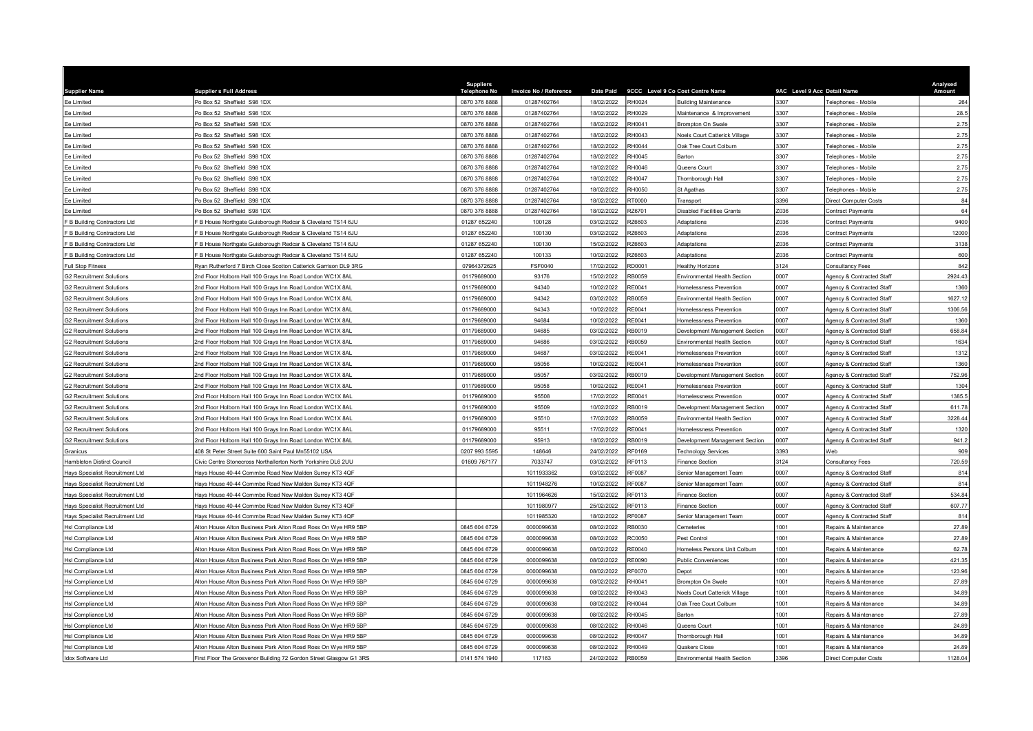| <b>Supplier Name</b>            | <b>Supplier s Full Address</b>                                     | <b>Suppliers</b><br><b>Telephone No</b> | Invoice No / Reference |            |               | Date Paid 9CCC Level 9 Co Cost Centre Name | 9AC Level 9 Acc Detail Name |                              | Analysed<br>Amount |
|---------------------------------|--------------------------------------------------------------------|-----------------------------------------|------------------------|------------|---------------|--------------------------------------------|-----------------------------|------------------------------|--------------------|
| Ee Limited                      | Po Box 52 Sheffield S98 1DX                                        | 0870 376 8888                           | 01287402764            | 18/02/2022 | RH0024        | <b>Building Maintenance</b>                | 3307                        | <b>Felephones - Mobile</b>   | 264                |
| Ee Limited                      | Po Box 52 Sheffield S98 1DX                                        | 0870 376 8888                           | 01287402764            | 18/02/2022 | RH0029        | Maintenance & Improvement                  | 3307                        | Felephones - Mobile          | 28.5               |
| Ee Limited                      | Po Box 52 Sheffield S98 1DX                                        | 0870 376 8888                           | 01287402764            | 18/02/2022 | RH0041        | Brompton On Swale                          | 3307                        | Felephones - Mobile          | 2.75               |
| Ee Limited                      | Po Box 52 Sheffield S98 1DX                                        | 0870 376 8888                           | 01287402764            | 18/02/2022 | RH0043        | Noels Court Catterick Village              | 3307                        | Felephones - Mobile          | 2.75               |
| Ee Limited                      | O Box 52 Sheffield S98 1DX                                         | 0870 376 8888                           | 01287402764            | 18/02/2022 | RH0044        | Oak Tree Court Colburn                     | 3307                        | elephones - Mobile           | 2.75               |
| Ee Limited                      | Po Box 52 Sheffield S98 1DX                                        | 0870 376 8888                           | 01287402764            | 18/02/2022 | RH0045        | Barton                                     | 3307                        | Felephones - Mobile          | 2.75               |
| Ee Limited                      | Po Box 52 Sheffield S98 1DX                                        | 0870 376 8888                           | 01287402764            | 18/02/2022 | RH0046        | Queens Court                               | 3307                        | Felephones - Mobile          | 2.75               |
| Fe I imited                     | On Box 52 Sheffield S98 1DX                                        | 0870 376 8888                           | 01287402764            | 18/02/2022 | <b>RH0047</b> | Thornborough Hall                          | 3307                        | elephones - Mobile           | 2.75               |
| Ee Limited                      | O Box 52 Sheffield S98 1DX                                         | 0870 376 8888                           | 01287402764            | 18/02/2022 | RH0050        | St Agathas                                 | 3307                        | Felephones - Mobile          | 2.75               |
| Ee Limited                      | Po Box 52 Sheffield S98 1DX                                        | 0870 376 8888                           | 01287402764            | 18/02/2022 | RT0000        | Transport                                  | 3396                        | <b>Direct Computer Costs</b> | 84                 |
| Ee Limited                      | Po Box 52 Sheffield S98 1DX                                        | 0870 376 8888                           | 01287402764            | 18/02/2022 | RZ6701        | <b>Disabled Facilities Grants</b>          | Z036                        | Contract Payments            | 64                 |
| F B Building Contractors Ltd    | B House Northgate Guisborough Redcar & Cleveland TS14 6JU          | 01287 652240                            | 100128                 | 03/02/2022 | RZ6603        | Adaptations                                | 7036                        | Contract Payments            | 9400               |
| F B Building Contractors Ltd    | B House Northgate Guisborough Redcar & Cleveland TS14 6JU          | 01287 652240                            | 100130                 | 03/02/2022 | RZ6603        | Adaptations                                | 7036                        | Contract Payments            | 12000              |
| F B Building Contractors Ltd    | B House Northgate Guisborough Redcar & Cleveland TS14 6JU          | 01287 652240                            | 100130                 | 15/02/2022 | RZ6603        | Adaptations                                | 7036                        | Contract Payments            | 3138               |
| F B Building Contractors Ltd    | B House Northgate Guisborough Redcar & Cleveland TS14 6JU          | 01287 652240                            | 100133                 | 10/02/2022 | RZ6603        | Adaptations                                | 7036                        | Contract Payments            | 600                |
| Full Stop Fitness               | Ryan Rutherford 7 Birch Close Scotton Catterick Garrison DL9 3RG   | 07964372625                             | FSF0040                | 17/02/2022 | RD0001        | lealthy Horizons                           | 3124                        | onsultancy Fees              | 842                |
| <b>G2 Recruitment Solutions</b> | 2nd Floor Holborn Hall 100 Grays Inn Road London WC1X 8AL          | 01179689000                             | 93176                  | 15/02/2022 | RB0059        | Environmental Health Section               | 0007                        | Agency & Contracted Staff    | 2924.43            |
| <b>G2 Recruitment Solutions</b> | 2nd Floor Holborn Hall 100 Grays Inn Road London WC1X 8AL          | 01179689000                             | 94340                  | 10/02/2022 | RE0041        | Homelessness Prevention                    | 0007                        | Agency & Contracted Staff    | 1360               |
| <b>G2 Recruitment Solutions</b> | Ind Floor Holborn Hall 100 Grays Inn Road London WC1X 8AL          | 01179689000                             | 94342                  | 03/02/2022 | RB0059        | Invironmental Health Section               | 0007                        | Agency & Contracted Staff    | 1627.12            |
| <b>G2 Recruitment Solutions</b> | Ind Floor Holborn Hall 100 Grays Inn Road London WC1X 8AL          | 01179689000                             | 94343                  | 10/02/2022 | RE0041        | <b>Homelessness Prevention</b>             | 0007                        | Agency & Contracted Staff    | 1306.56            |
| <b>G2 Recruitment Solutions</b> | Ind Floor Holborn Hall 100 Grays Inn Road London WC1X 8AL          | 01179689000                             | 94684                  | 10/02/2022 | RE0041        | <b>Homelessness Prevention</b>             | 0007                        | Agency & Contracted Staff    | 1360               |
| <b>G2 Recruitment Solutions</b> | 2nd Floor Holborn Hall 100 Grays Inn Road London WC1X 8AL          | 01179689000                             | 94685                  | 03/02/2022 | RB0019        | Development Management Section             | 0007                        | Agency & Contracted Staff    | 658.84             |
| <b>G2 Recruitment Solutions</b> | Ind Floor Holborn Hall 100 Grays Inn Road London WC1X 8AL          | 01179689000                             | 94686                  | 03/02/2022 | RB0059        | Environmental Health Section               | 0007                        | Agency & Contracted Staff    | 1634               |
| <b>G2 Recruitment Solutions</b> | Ind Floor Holborn Hall 100 Grays Inn Road London WC1X 8AL          | 01179689000                             | 94687                  | 03/02/2022 | RE0041        | Iomelessness Prevention                    | 0007                        | Agency & Contracted Staff    | 1312               |
| <b>G2 Recruitment Solutions</b> | Ind Floor Holborn Hall 100 Grays Inn Road London WC1X 8AL          | 01179689000                             | 95056                  | 10/02/2022 | RE0041        | <b>Homelessness Prevention</b>             | 0007                        | Agency & Contracted Staff    | 1360               |
| <b>G2 Recruitment Solutions</b> | 2nd Floor Holborn Hall 100 Grays Inn Road London WC1X 8AL          | 01179689000                             | 95057                  | 03/02/2022 | RB0019        | Development Management Section             | 0007                        | Agency & Contracted Staff    | 752.96             |
| <b>G2 Recruitment Solutions</b> | Ind Floor Holborn Hall 100 Grays Inn Road London WC1X 8AL          | 01179689000                             | 95058                  | 10/02/2022 | RE0041        | Homelessness Prevention                    | 0007                        | Agency & Contracted Staff    | 1304               |
| <b>G2 Recruitment Solutions</b> | 2nd Floor Holborn Hall 100 Grays Inn Road London WC1X 8AL          | 01179689000                             | 95508                  | 17/02/2022 | RE0041        | <b>Homelessness Prevention</b>             | 0007                        | Agency & Contracted Staff    | 1385.5             |
| <b>G2 Recruitment Solutions</b> | 2nd Floor Holborn Hall 100 Grays Inn Road London WC1X 8AL          | 01179689000                             | 95509                  | 10/02/2022 | RB0019        | Development Management Section             | 0007                        | Agency & Contracted Staff    | 611.78             |
| <b>G2 Recruitment Solutions</b> | 2nd Floor Holborn Hall 100 Grays Inn Road London WC1X 8AL          | 01179689000                             | 95510                  | 17/02/2022 | RB0059        | Environmental Health Section               | 0007                        | Agency & Contracted Staff    | 3228.44            |
| <b>G2 Recruitment Solutions</b> | 2nd Floor Holborn Hall 100 Grays Inn Road London WC1X 8AL          | 01179689000                             | 95511                  | 17/02/2022 | RE0041        | Homelessness Prevention                    | 0007                        | Agency & Contracted Staff    | 1320               |
| <b>G2 Recruitment Solutions</b> | 2nd Floor Holborn Hall 100 Grays Inn Road London WC1X 8AL          | 01179689000                             | 95913                  | 18/02/2022 | RB0019        | Development Management Section             | 0007                        | Agency & Contracted Staff    | 941.2              |
| Granicus                        | 408 St Peter Street Suite 600 Saint Paul Mn55102 USA               | 0207 993 5595                           | 148646                 | 24/02/2022 | RF0169        | <b>Technology Services</b>                 | 3393                        | Web                          | 909                |
| Hambleton Distirct Council      | Civic Centre Stonecross Northallerton North Yorkshire DL6 2UU      | 01609 767177                            | 7033747                | 03/02/2022 | RF0113        | <b>Finance Section</b>                     | 3124                        | Consultancy Fees             | 720.59             |
| Hays Specialist Recruitment Ltd | lays House 40-44 Commbe Road New Malden Surrey KT3 4QF             |                                         | 1011933362             | 03/02/2022 | <b>RF0087</b> | Senior Management Team                     | 1007                        | Agency & Contracted Staff    | 814                |
| Hays Specialist Recruitment Ltd | Hays House 40-44 Commbe Road New Malden Surrey KT3 4QF             |                                         | 1011948276             | 10/02/2022 | <b>RF0087</b> | Senior Management Team                     | 0007                        | Agency & Contracted Staff    | 814                |
| Hays Specialist Recruitment Ltd | Hays House 40-44 Commbe Road New Malden Surrey KT3 4QF             |                                         | 1011964626             | 15/02/2022 | RF0113        | <b>Finance Section</b>                     | 0007                        | Agency & Contracted Staff    | 534.84             |
| Hays Specialist Recruitment Ltd | lays House 40-44 Commbe Road New Malden Surrey KT3 4QF             |                                         | 1011980977             | 25/02/2022 | RF0113        | <b>Finance Section</b>                     | 0007                        | Agency & Contracted Staff    | 607.77             |
| Hays Specialist Recruitment Ltd | lays House 40-44 Commbe Road New Malden Surrey KT3 4QF             |                                         | 1011985320             | 18/02/2022 | <b>RF0087</b> | Senior Management Team                     | 0007                        | Agency & Contracted Staff    | 814                |
| Hsl Compliance Ltd              | Alton House Alton Business Park Alton Road Ross On Wye HR9 5BP     | 0845 604 6729                           | 0000099638             | 08/02/2022 | RB0030        | <b>Cemeteries</b>                          | 1001                        | Repairs & Maintenance        | 27.89              |
| Hsl Compliance Ltd              | Alton House Alton Business Park Alton Road Ross On Wye HR9 5BP     | 0845 604 6729                           | 0000099638             | 08/02/2022 | RC0050        | Pest Control                               | 1001                        | Repairs & Maintenance        | 27.89              |
| Hsl Compliance Ltd              | Alton House Alton Business Park Alton Road Ross On Wye HR9 5BP     | 0845 604 6729                           | 0000099638             | 08/02/2022 | RE0040        | Homeless Persons Unit Colburn              | 1001                        | Repairs & Maintenance        | 62.78              |
| Hsl Compliance Ltd              | Alton House Alton Business Park Alton Road Ross On Wye HR9 5BP     | 0845 604 6729                           | 0000099638             | 08/02/2022 | RE0090        | Public Conveniences                        | 1001                        | Repairs & Maintenance        | 421.35             |
| Hsl Compliance Ltd              | Alton House Alton Business Park Alton Road Ross On Wye HR9 5BP     | 0845 604 6729                           | 0000099638             | 08/02/2022 | RF0070        | Depot                                      | 1001                        | Repairs & Maintenance        | 123.96             |
| Hsl Compliance Ltd              | Alton House Alton Business Park Alton Road Ross On Wye HR9 5BP     | 0845 604 6729                           | 0000099638             | 08/02/2022 | RH0041        | Brompton On Swale                          | 1001                        | Repairs & Maintenance        | 27.89              |
| Hsl Compliance Ltd              | Alton House Alton Business Park Alton Road Ross On Wye HR9 5BP     | 0845 604 6729                           | 0000099638             | 08/02/2022 | RH0043        | Noels Court Catterick Village              | 1001                        | Repairs & Maintenance        | 34.89              |
| Hsl Compliance Ltd              | Alton House Alton Business Park Alton Road Ross On Wye HR9 5BP     | 0845 604 6729                           | 0000099638             | 08/02/2022 | <b>RH0044</b> | Oak Tree Court Colburn                     | 1001                        | Repairs & Maintenance        | 34.89              |
| Hsl Compliance Ltd              | Alton House Alton Business Park Alton Road Ross On Wye HR9 5BP     | 0845 604 6729                           | 0000099638             | 08/02/2022 | RH0045        | Barton                                     | 1001                        | Repairs & Maintenance        | 27.89              |
| Hsl Compliance Ltd              | Alton House Alton Business Park Alton Road Ross On Wye HR9 5BP     | 0845 604 6729                           | 0000099638             | 08/02/2022 | RH0046        | Queens Court                               | 1001                        | Repairs & Maintenance        | 24.89              |
| Hsl Compliance Ltd              | Alton House Alton Business Park Alton Road Ross On Wye HR9 5BP     | 0845 604 6729                           | 0000099638             | 08/02/2022 | RH0047        | Thornborough Hall                          | 1001                        | Repairs & Maintenance        | 34.89              |
| Hsl Compliance Ltd              | Alton House Alton Business Park Alton Road Ross On Wye HR9 5BP     | 0845 604 6729                           | 0000099638             | 08/02/2022 | RH0049        | Quakers Close                              | 1001                        | Repairs & Maintenance        | 24.89              |
| Idox Software Ltd               | First Floor The Grosvenor Building 72 Gordon Street Glasgow G1 3RS | 0141 574 1940                           | 117163                 | 24/02/2022 | RB0059        | Environmental Health Section               | 3396                        | <b>Direct Computer Costs</b> | 1128.04            |
|                                 |                                                                    |                                         |                        |            |               |                                            |                             |                              |                    |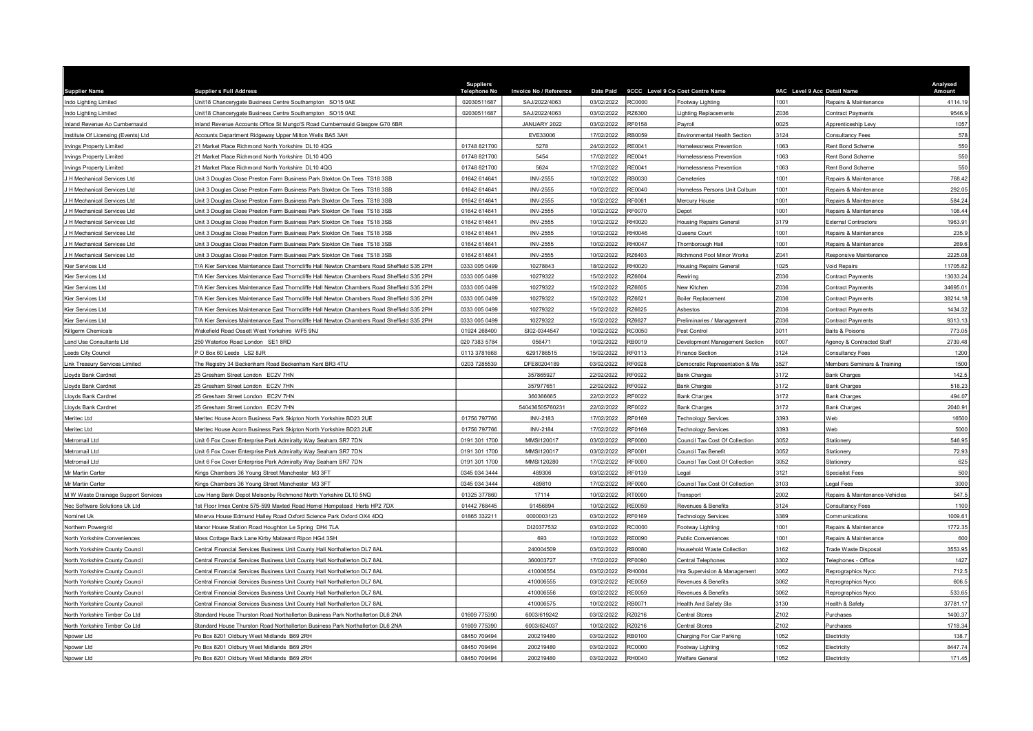| <b>Supplier Name</b>                | <b>Supplier s Full Address</b>                                                             | <b>Suppliers</b><br>Telephone No | Invoice No / Reference | <b>Date Paid</b> |               | 9CCC Level 9 Co Cost Centre Name | 9AC Level 9 Acc Detail Name |                                | Analysed<br>Amount |
|-------------------------------------|--------------------------------------------------------------------------------------------|----------------------------------|------------------------|------------------|---------------|----------------------------------|-----------------------------|--------------------------------|--------------------|
| Indo Lighting Limited               | Unit18 Chancerygate Business Centre Southampton SO15 0AE                                   | 02030511687                      | SAJ/2022/4063          | 03/02/2022       | <b>RC0000</b> | Footway Lighting                 | 1001                        | Repairs & Maintenance          | 4114.19            |
| Indo Lighting Limited               | Unit18 Chancerygate Business Centre Southampton SO15 0AE                                   | 02030511687                      | SAJ/2022/4063          | 03/02/2022       | RZ6300        | ighting Replacements             | Z036                        | Contract Payments              | 9546.9             |
| nland Revenue Ao Cumbernauld        | Inland Revenue Accounts Office St Mungo'S Road Cumbernauld Glasgow G70 6BR                 |                                  | JANUARY 2022           | 03/02/2022       | RF0158        | Pavroll                          | 0025                        | Apprenticeship Levy            | 1057               |
| nstitute Of Licensing (Events) Ltd  | Accounts Department Ridgeway Upper Milton Wells BA5 3AH                                    |                                  | EVE33006               | 17/02/2022       | RB0059        | Environmental Health Section     | 3124                        | Consultancy Fees               | 578                |
| Irvings Property Limited            | 21 Market Place Richmond North Yorkshire DL10 4QG                                          | 01748 821700                     | 5278                   | 24/02/2022       | RE0041        | Homelessness Prevention          | 1063                        | Rent Bond Scheme               | 550                |
| <b>Irvings Property Limited</b>     | 1 Market Place Richmond North Yorkshire DL10 4QG                                           | 01748 821700                     | 5454                   | 17/02/2022       | RE0041        | Homelessness Prevention          | 1063                        | <b>Rent Bond Scheme</b>        | 550                |
| rvings Property Limited             | 1 Market Place Richmond North Yorkshire DL10 4QG                                           | 01748 821700                     | 5624                   | 17/02/2022       | RE0041        | Homelessness Prevention          | 063                         | Rent Bond Scheme               | 550                |
| H Mechanical Services Ltd           | Jnit 3 Douglas Close Preston Farm Business Park Stokton On Tees TS18 3SB                   | 01642 614641                     | <b>INV-2555</b>        | 10/02/2022       | RB0030        | <b>Cemeteries</b>                | 1001                        | Repairs & Maintenance          | 768.42             |
| H Mechanical Services Ltd           | Jnit 3 Douglas Close Preston Farm Business Park Stokton On Tees TS18 3SB                   | 01642 614641                     | <b>INV-2555</b>        | 10/02/2022       | RE0040        | Homeless Persons Unit Colburn    | 1001                        | Repairs & Maintenance          | 292.05             |
| H Mechanical Services Ltd           | Unit 3 Douglas Close Preston Farm Business Park Stokton On Tees TS18 3SB                   | 01642 614641                     | <b>INV-2555</b>        | 10/02/2022       | RF0061        | Mercury House                    | 001                         | Repairs & Maintenance          | 584.24             |
| <b>H</b> Mechanical Services Ltd    | Jnit 3 Douglas Close Preston Farm Business Park Stokton On Tees TS18 3SB                   | 01642 614641                     | <b>INV-2555</b>        | 10/02/2022       | RF0070        | Depot                            | 1001                        | Repairs & Maintenance          | 108.44             |
| H Mechanical Services Ltd           | Jnit 3 Douglas Close Preston Farm Business Park Stokton On Tees TS18 3SB                   | 01642 614641                     | <b>INV-2555</b>        | 10/02/2022       | RH0020        | <b>Housing Repairs Genera</b>    | 3179                        | External Contractors           | 1963.91            |
| H Mechanical Services Ltd           | Unit 3 Douglas Close Preston Farm Business Park Stokton On Tees TS18 3SB                   | 01642 614641                     | <b>INV-2555</b>        | 10/02/2022       | RH0046        | Queens Court                     | 1001                        | Repairs & Maintenance          | 235.9              |
| H Mechanical Services Ltd           | Unit 3 Douglas Close Preston Farm Business Park Stokton On Tees TS18 3SB                   | 01642 614641                     | <b>INV-2555</b>        | 10/02/2022       | <b>RH0047</b> | Thornborough Hall                | 1001                        | Repairs & Maintenance          | 269.6              |
| H Mechanical Services Ltd           | Jnit 3 Douglas Close Preston Farm Business Park Stokton On Tees TS18 3SB                   | 01642 614641                     | <b>INV-2555</b>        | 10/02/2022       | RZ6403        | <b>Richmond Pool Minor Works</b> | 041                         | Responsive Maintenance         | 2225.08            |
| Kier Services Ltd                   | T/A Kier Services Maintenance East Thorncliffe Hall Newton Chambers Road Sheffield S35 2PH | 0333 005 0499                    | 10278843               | 18/02/2022       | <b>RH0020</b> | <b>Housing Repairs Genera</b>    | 025                         | oid Repairs                    | 11705.82           |
| Kier Services I td                  | T/A Kier Services Maintenance East Thorncliffe Hall Newton Chambers Road Sheffield S35 2PH | 0333 005 0499                    | 10279322               | 15/02/2022       | RZ6604        | Rewiring                         | Z036                        | Contract Payments              | 13033.24           |
| Kier Services Ltd                   | T/A Kier Services Maintenance East Thorncliffe Hall Newton Chambers Road Sheffield S35 2PH | 0333 005 0499                    | 10279322               | 15/02/2022       | RZ6605        | New Kitchen                      | Z036                        | Contract Payments              | 34695.01           |
| <b>Kier Services Ltd</b>            | T/A Kier Services Maintenance East Thorncliffe Hall Newton Chambers Road Sheffield S35 2PH | 0333 005 0499                    | 10279322               | 15/02/2022       | RZ6621        | Boiler Replacement               | 2036                        | Contract Payments              | 38214.18           |
| Kier Services Ltd                   | T/A Kier Services Maintenance East Thorncliffe Hall Newton Chambers Road Sheffield S35 2PH | 0333 005 0499                    | 10279322               | 15/02/2022       | RZ6625        | Asbestos                         | Z036                        | Contract Payments              | 1434.32            |
| Kier Services Ltd                   | T/A Kier Services Maintenance East Thorncliffe Hall Newton Chambers Road Sheffield S35 2PH | 0333 005 0499                    | 10279322               | 15/02/2022       | RZ6627        | Preliminaries / Management       | Z036                        | Contract Payments              | 9313.13            |
| Killgerm Chemicals                  | Wakefield Road Ossett West Yorkshire WF5 9NJ                                               | 01924 268400                     | SI02-0344547           | 10/02/2022       | RC0050        | Pest Control                     | 3011                        | Baits & Poisons                | 773.05             |
| and Use Consultants Ltd             | 250 Waterloo Road London SE1 8RD                                                           | 020 7383 5784                    | 056471                 | 10/02/2022       | RB0019        | Development Management Section   | 007                         | Agency & Contracted Staff      | 2739.48            |
| eeds City Council                   | PO Box 60 Leeds LS2 8JR                                                                    | 0113 3781668                     | 6291786515             | 15/02/2022       | RF0113        | <b>Finance Section</b>           | 3124                        | Consultancy Fees               | 1200               |
| Link Treasury Services Limited      | The Registry 34 Beckenham Road Beckenham Kent BR3 4TU                                      | 0203 7285539                     | DFE80204189            | 03/02/2022       | RF0028        | Democratic Representation & Ma   | 3527                        | Members Seminars & Training    | 1500               |
| Lloyds Bank Cardnet                 | 25 Gresham Street London EC2V 7HN                                                          |                                  | 357865927              | 22/02/2022       | RF0022        | <b>Bank Charges</b>              | 3172                        | <b>Bank Charges</b>            | 142.5              |
| Lloyds Bank Cardnet                 | 25 Gresham Street London EC2V 7HN                                                          |                                  | 357977651              | 22/02/2022       | RF0022        | <b>Bank Charges</b>              | 172                         | <b>Jank Charges</b>            | 518.23             |
| Lloyds Bank Cardnet                 | 25 Gresham Street London EC2V 7HN                                                          |                                  | 360366665              | 22/02/2022       | RF0022        | <b>Bank Charges</b>              | 3172                        | <b>Bank Charges</b>            | 494.07             |
| Lloyds Bank Cardnet                 | 25 Gresham Street London EC2V 7HN                                                          |                                  | 540436505760231        | 22/02/2022       | RF0022        | <b>Bank Charges</b>              | 3172                        | Bank Charges                   | 2040.91            |
| Meritec Ltd                         | Meritec House Acorn Business Park Skipton North Yorkshire BD23 2UE                         | 01756 797766                     | <b>INV-2183</b>        | 17/02/2022       | RF0169        | <b>Technology Services</b>       | 3393                        | Veb                            | 16500              |
| Meritec Ltd                         | Meritec House Acorn Business Park Skipton North Yorkshire BD23 2UE                         | 01756 797766                     | <b>INV-2184</b>        | 17/02/2022       | RF0169        | <b>Technology Services</b>       | 3393                        | Veb                            | 5000               |
| Metromail Ltd                       | Jnit 6 Fox Cover Enterprise Park Admiralty Way Seaham SR7 7DN                              | 0191 301 1700                    | MMSI120017             | 03/02/2022       | RF0000        | Council Tax Cost Of Collection   | 3052                        | Stationery                     | 546.95             |
| Metromail Ltd                       | Jnit 6 Fox Cover Enterprise Park Admiralty Way Seaham SR7 7DN                              | 0191 301 1700                    | MMSI120017             | 03/02/2022       | RF0001        | Council Tax Benefit              | 3052                        | Stationery                     | 72.93              |
| Metromail Ltd                       | Jnit 6 Fox Cover Enterprise Park Admiralty Way Seaham SR7 7DN                              | 0191 301 1700                    | MMSI120280             | 17/02/2022       | RF0000        | Council Tax Cost Of Collection   | 3052                        | Stationery                     | 625                |
| Mr Martin Carter                    | Kings Chambers 36 Young Street Manchester M3 3FT                                           | 0345 034 3444                    | 489306                 | 03/02/2022       | RF0139        | egal                             | 121                         | <b>Specialist Fees</b>         | 500                |
| Mr Martin Carter                    | Kings Chambers 36 Young Street Manchester M3 3FT                                           | 0345 034 3444                    | 489810                 | 17/02/2022       | <b>RF0000</b> | Council Tax Cost Of Collection   | 3103                        | egal Fees                      | 3000               |
| M W Waste Drainage Support Services | Low Hang Bank Depot Melsonby Richmond North Yorkshire DL10 5NQ                             | 01325 377860                     | 17114                  | 10/02/2022       | RT0000        | Transport                        | 2002                        | Repairs & Maintenance-Vehicles | 547.5              |
| Nec Software Solutions Uk Ltd       | Ist Floor Imex Centre 575-599 Maxted Road Hemel Hempstead Herts HP2 7DX                    | 01442 768445                     | 91456894               | 10/02/2022       | RE0059        | Revenues & Benefits              | 3124                        | Consultancy Fees               | 1100               |
| Nominet Uk                          | Minerva House Edmund Halley Road Oxford Science Park Oxford OX4 4DQ                        | 01865 332211                     | 0000003123             | 03/02/2022       | RF0169        | <b>Fechnology Services</b>       | 3389                        | Communications                 | 1009.61            |
| Northern Powergrid                  | Manor House Station Road Houghton Le Spring DH4 7LA                                        |                                  | DI20377532             | 03/02/2022       | RC0000        | Footway Lighting                 | 001                         | Repairs & Maintenance          | 1772.35            |
| North Yorkshire Conveniences        | Moss Cottage Back Lane Kirby Malzeard Ripon HG4 3SH                                        |                                  | 693                    | 10/02/2022       | RE0090        | Public Conveniences              | 1001                        | Repairs & Maintenance          | 600                |
| North Yorkshire County Council      | Central Financial Services Business Unit County Hall Northallerton DL7 8AL                 |                                  | 240004509              | 03/02/2022       | RB0080        | Household Waste Collection       | 162                         | <b>Trade Waste Disposal</b>    | 3553.95            |
| North Yorkshire County Council      | Central Financial Services Business Unit County Hall Northallerton DL7 8AL                 |                                  | 360003727              | 17/02/2022       | <b>RF0090</b> | Central Telephones               | 3302                        | elephones - Office             | 1427               |
| North Yorkshire County Council      | Central Financial Services Business Unit County Hall Northallerton DL7 8AL                 |                                  | 410006554              | 03/02/2022       | <b>RH0004</b> | Hra Supervision & Management     | 3062                        | Reprographics Nycc             | 712.5              |
| North Yorkshire County Council      | Central Financial Services Business Unit County Hall Northallerton DL7 8AL                 |                                  | 410006555              | 03/02/2022       | <b>RE0059</b> | Revenues & Benefits              | 3062                        | Reprographics Nycc             | 606.5              |
| North Yorkshire County Council      | Central Financial Services Business Unit County Hall Northallerton DL7 8AL                 |                                  | 410006556              | 03/02/2022       | RE0059        | Revenues & Benefits              | 3062                        | Reprographics Nycc             | 533.65             |
| North Yorkshire County Council      | Central Financial Services Business Unit County Hall Northallerton DL7 8AL                 |                                  | 410006575              | 10/02/2022       | RB0071        | lealth And Safety Sla            | 3130                        | lealth & Safety                | 37781.17           |
| North Yorkshire Timber Co Ltd       | Standard House Thurston Road Northallerton Business Park Northallerton DL6 2NA             | 01609 775390                     | 6003/619242            | 03/02/2022       | RZ0216        | Central Stores                   | Z102                        | Purchases                      | 1400.37            |
| North Yorkshire Timber Co Ltd       | Standard House Thurston Road Northallerton Business Park Northallerton DL6 2NA             | 01609 775390                     | 6003/624037            | 10/02/2022       | RZ0216        | Central Stores                   | 2102                        | Purchases                      | 1718.34            |
| Npower Ltd                          | Po Box 8201 Oldbury West Midlands B69 2RH                                                  | 08450 709494                     | 200219480              | 03/02/2022       | RB0100        | Charging For Car Parking         | 052                         | <b>Hectricity</b>              | 138.7              |
| Npower Ltd                          | Po Box 8201 Oldbury West Midlands B69 2RH                                                  | 08450 709494                     | 200219480              | 03/02/2022       | <b>RC0000</b> | Footway Lighting                 | 052                         | <b>Electricity</b>             | 8447.74            |
| Npower Ltd                          | Po Box 8201 Oldbury West Midlands B69 2RH                                                  | 08450 709494                     | 200219480              | 03/02/2022       | <b>RH0040</b> | Welfare General                  | 052                         | <b>Hectricity</b>              | 171.45             |
|                                     |                                                                                            |                                  |                        |                  |               |                                  |                             |                                |                    |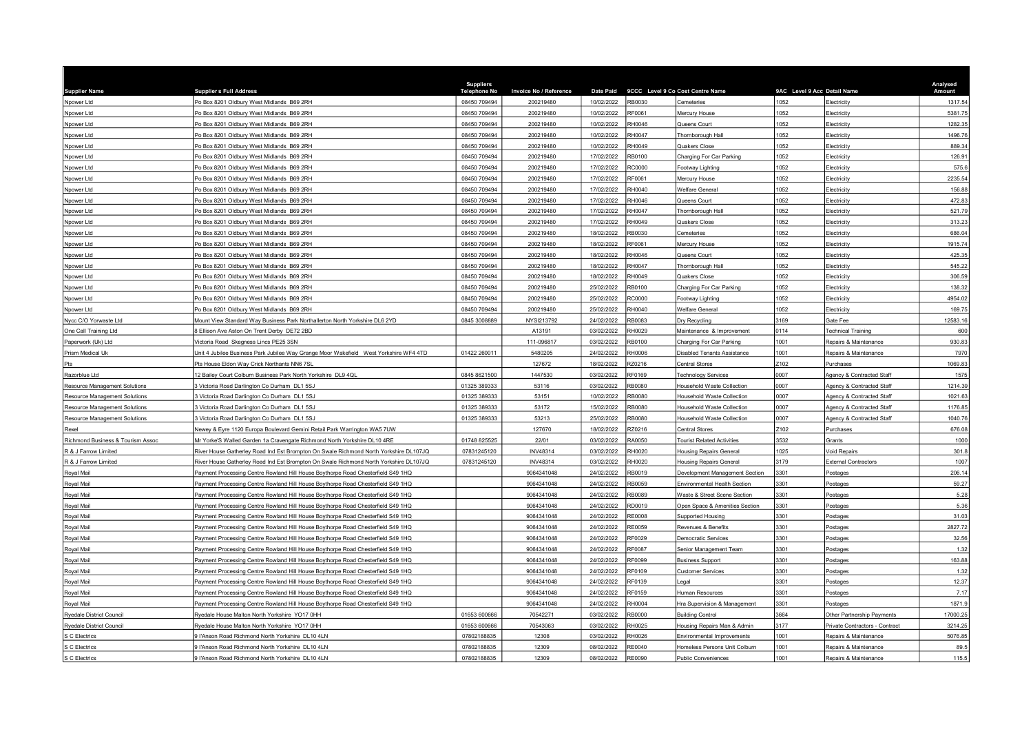| <b>Supplier Name</b>                         | <b>Supplier s Full Address</b>                                                                                                                                       | <b>Suppliers</b><br><b>Telephone No</b> | Invoice No / Reference             | <b>Date Paid</b>         |                         | 9CCC Level 9 Co Cost Centre Name                               | 9AC Level 9 Acc Detail Name |                                                        | Analysed<br>Amount |
|----------------------------------------------|----------------------------------------------------------------------------------------------------------------------------------------------------------------------|-----------------------------------------|------------------------------------|--------------------------|-------------------------|----------------------------------------------------------------|-----------------------------|--------------------------------------------------------|--------------------|
| Npower Ltd                                   | Po Box 8201 Oldbury West Midlands B69 2RH                                                                                                                            | 08450 709494                            | 200219480                          | 10/02/2022               | <b>RB0030</b>           | Cemeteries                                                     | 1052                        | lectricity                                             | 1317.54            |
| Npower Ltd                                   | Po Box 8201 Oldbury West Midlands B69 2RH                                                                                                                            | 08450 709494                            | 200219480                          | 10/02/2022               | RF0061                  | Mercury House                                                  | 1052                        | <b>Electricity</b>                                     | 5381.75            |
| Npower Ltd                                   | o Box 8201 Oldbury West Midlands B69 2RH                                                                                                                             | 08450 709494                            | 200219480                          | 10/02/2022               | RH0046                  | Queens Court                                                   | 052                         | lectricity                                             | 1282.35            |
| Npower Ltd                                   | Po Box 8201 Oldbury West Midlands B69 2RH                                                                                                                            | 08450 709494                            | 200219480                          | 10/02/2022               | RH0047                  | Thornborough Hall                                              | 052                         | lectricity                                             | 1496.76            |
| Npower Ltd                                   | Po Box 8201 Oldbury West Midlands B69 2RH                                                                                                                            | 08450 709494                            | 200219480                          | 10/02/2022               | RH0049                  | Quakers Close                                                  | 1052                        | lectricity                                             | 889.34             |
| Npower Ltd                                   | Po Box 8201 Oldbury West Midlands B69 2RH                                                                                                                            | 08450 709494                            | 200219480                          | 17/02/2022               | RB0100                  | Charging For Car Parking                                       | 1052                        | <b>Electricity</b>                                     | 126.91             |
| Npower Ltd                                   | Po Box 8201 Oldbury West Midlands B69 2RH                                                                                                                            | 08450 709494                            | 200219480                          | 17/02/2022               | <b>RC0000</b>           | Footway Lighting                                               | 052                         | Electricity                                            | 575.6              |
| Npower Ltd                                   | O Box 8201 Oldbury West Midlands B69 2RH                                                                                                                             | 08450 709494                            | 200219480                          | 17/02/2022               | RF0061                  | Mercury House                                                  | 052                         | <b>lectricity</b>                                      | 2235.54            |
| Npower Ltd                                   | Po Box 8201 Oldbury West Midlands B69 2RH                                                                                                                            | 08450 709494                            | 200219480                          | 17/02/2022               | RH0040                  | <b>Nelfare General</b>                                         | 1052                        | lectricity                                             | 156.88             |
| Npower Ltd                                   | Po Box 8201 Oldbury West Midlands B69 2RH                                                                                                                            | 08450 709494                            | 200219480                          | 17/02/2022               | RH0046                  | Queens Court                                                   | 1052                        | <b>Electricity</b>                                     | 472.83             |
| Npower Ltd                                   | Po Box 8201 Oldbury West Midlands B69 2RH                                                                                                                            | 08450 709494                            | 200219480                          | 17/02/2022               | RH0047                  | Thornborough Hall                                              | 052                         | lectricity                                             | 521.79             |
| Npower Ltd                                   | Po Box 8201 Oldbury West Midlands B69 2RH                                                                                                                            | 08450 709494                            | 200219480                          | 17/02/2022               | RH0049                  | <b>Quakers Close</b>                                           | 1052                        | lectricity                                             | 313.23             |
| Npower Ltd                                   | Po Box 8201 Oldbury West Midlands B69 2RH                                                                                                                            | 08450 709494                            | 200219480                          | 18/02/2022               | RB0030                  | Cemeteries                                                     | 1052                        | Flectricity                                            | 686.04             |
| Npower Ltd                                   | Po Box 8201 Oldbury West Midlands B69 2RH                                                                                                                            | 08450 709494                            | 200219480                          | 18/02/2022               | RF0061                  | Mercury House                                                  | 1052                        | lectricity                                             | 1915.74            |
| Npower Ltd                                   | Po Box 8201 Oldbury West Midlands B69 2RH                                                                                                                            | 08450 709494                            | 200219480                          | 18/02/2022               | RH0046                  | Queens Court                                                   | 052                         | <b>Electricity</b>                                     | 425.35             |
| Npower Ltd                                   | Po Box 8201 Oldbury West Midlands B69 2RH                                                                                                                            | 08450 709494                            | 200219480                          | 18/02/2022               | <b>RH0047</b>           | Thornborough Hall                                              | 1052                        | Electricity                                            | 545.22             |
| Npower Ltd                                   | Po Box 8201 Oldbury West Midlands B69 2RH                                                                                                                            | 08450 709494                            | 200219480                          | 18/02/2022               | RH0049                  | Quakers Close                                                  | 1052                        | <b>Electricity</b>                                     | 306.59             |
| Npower Ltd                                   | Po Box 8201 Oldbury West Midlands B69 2RH                                                                                                                            | 08450 709494                            | 200219480                          | 25/02/2022               | RB0100                  | Charging For Car Parking                                       | 1052                        | <b>Electricity</b>                                     | 138.32             |
| Npower Ltd                                   | Po Box 8201 Oldbury West Midlands B69 2RH                                                                                                                            | 08450 709494                            | 200219480                          | 25/02/2022               | RC0000                  | Footway Lighting                                               | 052                         | lectricity                                             | 4954.02            |
| Npower Ltd                                   | Po Box 8201 Oldbury West Midlands B69 2RH                                                                                                                            | 08450 709494                            | 200219480                          | 25/02/2022               | RH0040                  | Velfare General                                                | 1052                        | <b>Electricity</b>                                     | 169.75             |
| Nvcc C/O Yorwaste Ltd                        | Mount View Standard Way Business Park Northallerton North Yorkshire DL6 2YD                                                                                          | 0845 3008889                            | NYSI213792                         | 24/02/2022               | RB0083                  | Dry Recycling                                                  | 3169                        | Gate Fee                                               | 12583.16           |
| One Call Training Ltd                        | Ellison Ave Aston On Trent Derby DE72 2BD                                                                                                                            |                                         | A13191                             | 03/02/2022               | RH0029                  | Maintenance & Improvement                                      | 0114                        | echnical Training                                      | 600                |
| Paperwork (Uk) Ltd                           | Victoria Road Skegness Lincs PE25 3SN                                                                                                                                |                                         | 111-096817                         | 03/02/2022               | <b>RB0100</b>           | Charging For Car Parking                                       | 1001                        | Repairs & Maintenance                                  | 930.83             |
|                                              |                                                                                                                                                                      | 01422 260011                            | 5480205                            | 24/02/2022               | <b>RH0006</b>           | Disabled Tenants Assistance                                    | 1001                        |                                                        | 7970               |
| Prism Medical Uk<br>Pts                      | Jnit 4 Jubilee Business Park Jubilee Way Grange Moor Wakefield West Yorkshire WF4 4TD<br>Pts House Eldon Way Crick Northants NN6 7SL                                 |                                         | 127672                             | 18/02/2022               | RZ0216                  | Central Stores                                                 | Z102                        | Repairs & Maintenance<br>Purchases                     | 1069.83            |
| Razorblue Ltd                                | 2 Bailey Court Colburn Business Park North Yorkshire DL9 4QL                                                                                                         | 0845 8621500                            | 1447530                            | 03/02/2022               | RF0169                  |                                                                | 0007                        |                                                        | 1575               |
| <b>Resource Management Solutions</b>         | Victoria Road Darlington Co Durham DL1 5SJ                                                                                                                           | 01325 389333                            | 53116                              | 03/02/2022               | <b>RB0080</b>           | <b>Technology Services</b><br>Household Waste Collection       | 0007                        | Agency & Contracted Staff<br>Agency & Contracted Staff | 1214.39            |
|                                              | 3 Victoria Road Darlington Co Durham DL1 5SJ                                                                                                                         | 01325 389333                            | 53151                              | 10/02/2022               | RB0080                  | Household Waste Collection                                     | 0007                        |                                                        | 1021.63            |
| <b>Resource Management Solutions</b>         |                                                                                                                                                                      | 01325 389333                            | 53172                              | 15/02/2022               | RB0080                  | Household Waste Collection                                     | 0007                        | Agency & Contracted Staff                              | 1176.85            |
| Resource Management Solutions                | 3 Victoria Road Darlington Co Durham DL1 5SJ                                                                                                                         |                                         |                                    | 25/02/2022               | RB0080                  |                                                                | 0007                        | Agency & Contracted Staff<br>Agency & Contracted Staff |                    |
| <b>Resource Management Solutions</b>         | 3 Victoria Road Darlington Co Durham DL1 5SJ<br>Vewey & Eyre 1120 Europa Boulevard Gemini Retail Park Warrington WA5 7UW                                             | 01325 389333                            | 53213<br>127670                    | 18/02/2022               | RZ0216                  | Household Waste Collection                                     | Z <sub>102</sub>            |                                                        | 1040.76<br>676.08  |
| Rexel                                        |                                                                                                                                                                      | 01748 825525                            |                                    | 03/02/2022               | RA0050                  | Central Stores                                                 | 3532                        | Purchases                                              | 1000               |
| Richmond Business & Tourism Assoc            | Mr Yorke'S Walled Garden 1a Cravengate Richmond North Yorkshire DL10 4RE                                                                                             |                                         | 22/01                              | 03/02/2022               |                         | <b>Tourist Related Activities</b>                              | 1025                        | Grants                                                 |                    |
| R & J Farrow Limited<br>R & J Farrow Limited | River House Gatherley Road Ind Est Brompton On Swale Richmond North Yorkshire DL107JQ                                                                                | 07831245120                             | <b>INV48314</b><br><b>INV48314</b> |                          | RH0020<br>RH0020        | Housing Repairs General                                        | 179                         | oid Repairs                                            | 301.8              |
|                                              | River House Gatherley Road Ind Est Brompton On Swale Richmond North Yorkshire DL107JQ                                                                                | 07831245120                             |                                    | 03/02/2022               |                         | <b>Housing Repairs General</b>                                 |                             | xternal Contractors                                    | 1007               |
| Royal Mail                                   | Payment Processing Centre Rowland Hill House Boythorpe Road Chesterfield S49 1HQ<br>Payment Processing Centre Rowland Hill House Boythorpe Road Chesterfield S49 1HQ |                                         | 9064341048<br>9064341048           | 24/02/2022<br>24/02/2022 | RB0019<br>RB0059        | Development Management Section<br>Environmental Health Section | 3301<br>3301                | ostages                                                | 206.14<br>59.27    |
| Royal Mail                                   |                                                                                                                                                                      |                                         |                                    |                          |                         |                                                                |                             | ostages                                                |                    |
| Royal Mail                                   | Payment Processing Centre Rowland Hill House Boythorpe Road Chesterfield S49 1HQ                                                                                     |                                         | 9064341048                         | 24/02/2022               | RB0089                  | <b>Waste &amp; Street Scene Section</b>                        | 3301                        | Postages                                               | 5.28               |
| Royal Mail                                   | Payment Processing Centre Rowland Hill House Boythorpe Road Chesterfield S49 1HQ                                                                                     |                                         | 9064341048                         | 24/02/2022               | RD0019<br><b>RE0008</b> | Open Space & Amenities Section                                 | 301<br>3301                 | Postages                                               | 5.36               |
| Royal Mail                                   | Payment Processing Centre Rowland Hill House Boythorpe Road Chesterfield S49 1HQ                                                                                     |                                         | 9064341048                         | 24/02/2022<br>24/02/2022 |                         | <b>Supported Housing</b>                                       | 3301                        | <b>Postages</b>                                        | 31.03<br>2827.72   |
| Royal Mail                                   | Payment Processing Centre Rowland Hill House Boythorpe Road Chesterfield S49 1HQ                                                                                     |                                         | 9064341048                         |                          | <b>RE0059</b>           | Revenues & Benefits                                            |                             | Postages                                               |                    |
| Royal Mail                                   | Payment Processing Centre Rowland Hill House Boythorpe Road Chesterfield S49 1HQ                                                                                     |                                         | 9064341048<br>9064341048           | 24/02/2022<br>24/02/2022 | RF0029<br>RF0087        | Democratic Services                                            | 3301<br>3301                | ostages                                                | 32.56<br>1.32      |
| Royal Mail                                   | Payment Processing Centre Rowland Hill House Boythorpe Road Chesterfield S49 1HQ                                                                                     |                                         |                                    |                          | <b>RF0099</b>           | Senior Management Team                                         | 3301                        | ostages                                                | 163.88             |
| Royal Mail                                   | Payment Processing Centre Rowland Hill House Boythorpe Road Chesterfield S49 1HQ                                                                                     |                                         | 9064341048                         | 24/02/2022               |                         | <b>Business Support</b>                                        |                             | Postages                                               |                    |
| Royal Mail                                   | Payment Processing Centre Rowland Hill House Boythorpe Road Chesterfield S49 1HQ                                                                                     |                                         | 9064341048                         | 24/02/2022               | RF0109                  | Customer Services                                              | 3301                        | ostages                                                | 1.32               |
| Royal Mail                                   | Payment Processing Centre Rowland Hill House Boythorpe Road Chesterfield S49 1HQ                                                                                     |                                         | 9064341048<br>9064341048           | 24/02/2022               | RF0139<br>RF0159        | egal                                                           | 301<br>301                  | Postages                                               | 12.37              |
| Royal Mail                                   | Payment Processing Centre Rowland Hill House Boythorpe Road Chesterfield S49 1HQ                                                                                     |                                         |                                    | 24/02/2022               |                         | Human Resources                                                |                             | <b>Postages</b>                                        | 7.17               |
| Royal Mail                                   | Payment Processing Centre Rowland Hill House Boythorpe Road Chesterfield S49 1HQ                                                                                     |                                         | 9064341048                         | 24/02/2022               | RH0004                  | Ira Supervision & Management                                   | 3301                        | Postages                                               | 1871.9             |
| <b>Ryedale District Council</b>              | Ryedale House Malton North Yorkshire YO17 0HH                                                                                                                        | 01653 600666                            | 70542271                           | 03/02/2022               | <b>RB0000</b>           | <b>Building Control</b>                                        | 3664                        | Other Partnership Payments                             | 17000.25           |
| Ryedale District Council                     | Ryedale House Malton North Yorkshire YO17 0HH                                                                                                                        | 01653 600666                            | 70543063                           | 03/02/2022               | RH0025                  | Housing Repairs Man & Admin                                    | 177                         | Private Contractors - Contract                         | 3214.25            |
| S C Electrics                                | FAnson Road Richmond North Yorkshire DL10 4LN                                                                                                                        | 07802188835                             | 12308                              | 03/02/2022               | RH0026                  | nvironmental Improvements                                      | 1001                        | Repairs & Maintenance                                  | 5076.85            |
| S C Electrics                                | 9 l'Anson Road Richmond North Yorkshire DI 10 41 N                                                                                                                   | 07802188835                             | 12309                              | 08/02/2022               | <b>RE0040</b>           | Homeless Persons Unit Colburn                                  | 1001                        | Repairs & Maintenance                                  | 89.5               |
| S C Electrics                                | 9 l'Anson Road Richmond North Yorkshire DL10 4LN                                                                                                                     | 07802188835                             | 12309                              | 08/02/2022               | <b>RE0090</b>           | <b>Public Conveniences</b>                                     | 1001                        | Repairs & Maintenance                                  | 115.5              |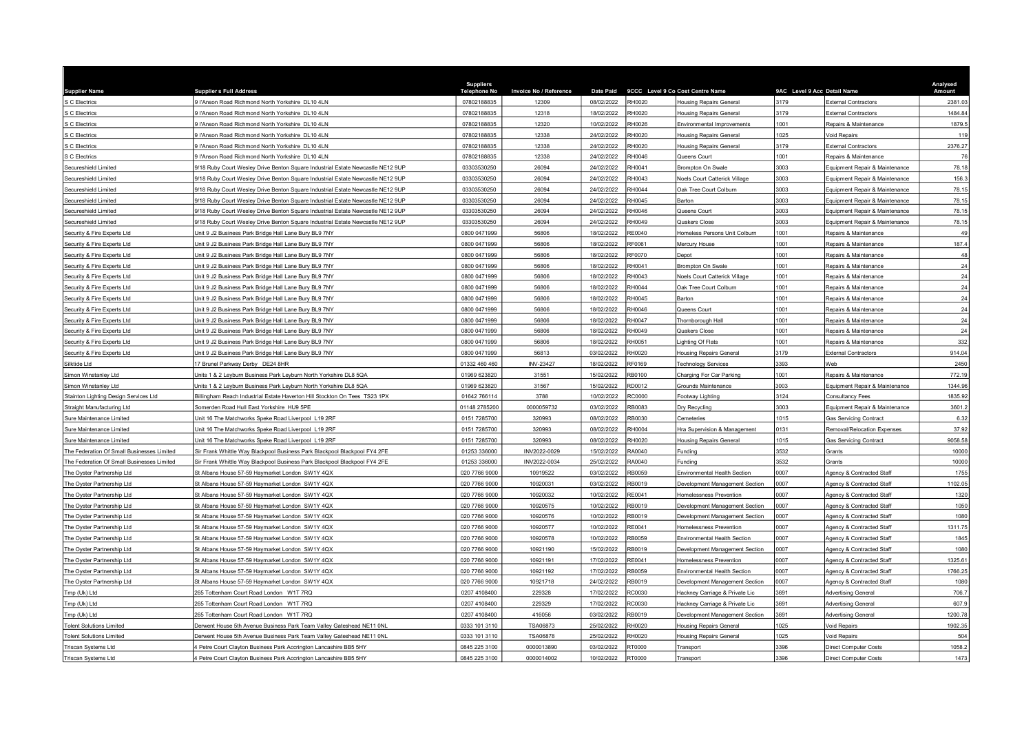| <b>Supplier Name</b>                       | <b>Supplier s Full Address</b>                                                  | <b>Suppliers</b><br><b>Telephone No</b> | Invoice No / Reference | <b>Date Paid</b> |               | 9CCC Level 9 Co Cost Centre Name     | 9AC Level 9 Acc Detail Name |                                    | Analysed<br>Amount |
|--------------------------------------------|---------------------------------------------------------------------------------|-----------------------------------------|------------------------|------------------|---------------|--------------------------------------|-----------------------------|------------------------------------|--------------------|
| S C Electrics                              | 9 l'Anson Road Richmond North Yorkshire DL10 4LN                                | 07802188835                             | 12309                  | 08/02/2022       | <b>RH0020</b> | <b>Housing Repairs General</b>       | 3179                        | <b>External Contractors</b>        | 2381.03            |
| S C Electrics                              | 9 l'Anson Road Richmond North Yorkshire DL10 4LN                                | 07802188835                             | 12318                  | 18/02/2022       | RH0020        | <b>Housing Repairs General</b>       | 3179                        | <b>External Contractors</b>        | 1484.84            |
| S C Electrics                              | I'Anson Road Richmond North Yorkshire DL10 4LN                                  | 07802188835                             | 12320                  | 10/02/2022       | RH0026        | Environmental Improvements           | 1001                        | Repairs & Maintenance              | 1879.5             |
| S C Electrics                              | 9 l'Anson Road Richmond North Yorkshire DL10 4LN                                | 07802188835                             | 12338                  | 24/02/2022       | RH0020        | <b>Housing Repairs Genera</b>        | 1025                        | <b>Void Repairs</b>                | 119                |
| S C Electrics                              | 9 l'Anson Road Richmond North Yorkshire DL10 4LN                                | 07802188835                             | 12338                  | 24/02/2022       | <b>RH0020</b> | <b>Housing Repairs General</b>       | 3179                        | <b>External Contractors</b>        | 2376.27            |
| S C Electrics                              | 9 l'Anson Road Richmond North Yorkshire DL10 4LN                                | 07802188835                             | 12338                  | 24/02/2022       | RH0046        | Queens Court                         | 1001                        | Repairs & Maintenance              | 76                 |
| Secureshield Limited                       | 1/18 Ruby Court Wesley Drive Benton Square Industrial Estate Newcastle NE12 9UP | 03303530250                             | 26094                  | 24/02/2022       | RH0041        | Brompton On Swale                    | 3003                        | Equipment Repair & Maintenance     | 78.18              |
| Secureshield Limited                       | /18 Ruby Court Wesley Drive Benton Square Industrial Estate Newcastle NE12 9UP  | 03303530250                             | 26094                  | 24/02/2022       | RH0043        | <b>Noels Court Catterick Village</b> | 3003                        | Equipment Repair & Maintenance     | 156.3              |
| Secureshield Limited                       | 1/18 Ruby Court Wesley Drive Benton Square Industrial Estate Newcastle NE12 9UP | 03303530250                             | 26094                  | 24/02/2022       | RH0044        | Oak Tree Court Colburn               | 3003                        | Equipment Repair & Maintenance     | 78.15              |
| Secureshield Limited                       | 1/18 Ruby Court Wesley Drive Benton Square Industrial Estate Newcastle NE12 9UP | 03303530250                             | 26094                  | 24/02/2022       | <b>RH0045</b> | Barton                               | 3003                        | Equipment Repair & Maintenance     | 78.15              |
| Secureshield Limited                       | 18 Ruby Court Wesley Drive Benton Square Industrial Estate Newcastle NE12 9UP   | 03303530250                             | 26094                  | 24/02/2022       | RH0046        | Queens Court                         | 3003                        | Equipment Repair & Maintenance     | 78.15              |
| Secureshield Limited                       | /18 Ruby Court Wesley Drive Benton Square Industrial Estate Newcastle NE12 9UP  | 03303530250                             | 26094                  | 24/02/2022       | RH0049        | Quakers Close                        | 3003                        | Equipment Repair & Maintenance     | 78.15              |
| Security & Fire Experts Ltd                | Jnit 9 J2 Business Park Bridge Hall Lane Bury BL9 7NY                           | 0800 0471999                            | 56806                  | 18/02/2022       | RE0040        | Homeless Persons Unit Colburn        | 1001                        | Repairs & Maintenance              | 49                 |
| Security & Fire Experts Ltd                | Init 9 J2 Business Park Bridge Hall Lane Bury BL9 7NY                           | 0800 0471999                            | 56806                  | 18/02/2022       | RF0061        | Mercury House                        | 1001                        | Repairs & Maintenance              | 187.4              |
| Security & Fire Experts Ltd                | Init 9 J2 Business Park Bridge Hall Lane Bury BL9 7NY                           | 0800 0471999                            | 56806                  | 18/02/2022       | RF0070        | Depot                                | 001                         | Repairs & Maintenance              | 48                 |
| Security & Fire Experts Ltd                | Init 9 J2 Business Park Bridge Hall Lane Bury BL9 7NY                           | 0800 0471999                            | 56806                  | 18/02/2022       | RH0041        | <b>Brompton On Swale</b>             | 1001                        | Repairs & Maintenance              | 24                 |
| Security & Fire Experts Ltd                | Init 9 J2 Business Park Bridge Hall Lane Bury BL9 7NY                           | 0800 0471999                            | 56806                  | 18/02/2022       | RH0043        | Noels Court Catterick Village        | 1001                        | Repairs & Maintenance              | 24                 |
| Security & Fire Experts Ltd                | Jnit 9 J2 Business Park Bridge Hall Lane Bury BL9 7NY                           | 0800 0471999                            | 56806                  | 18/02/2022       | RH0044        | Oak Tree Court Colburn               | 1001                        | Repairs & Maintenance              | 24                 |
| Security & Fire Experts Ltd                | Init 9 J2 Business Park Bridge Hall Lane Bury BL9 7NY                           | 0800 0471999                            | 56806                  | 18/02/2022       | RH0045        | <b>Barton</b>                        | 001                         | Repairs & Maintenance              | 24                 |
| Security & Fire Experts Ltd                | Init 9 J2 Business Park Bridge Hall Lane Bury BL9 7NY                           | 0800 0471999                            | 56806                  | 18/02/2022       | RH0046        | Queens Court                         | 1001                        | Repairs & Maintenance              | 24                 |
| Security & Fire Experts Ltd                | Jnit 9 J2 Business Park Bridge Hall Lane Bury BL9 7NY                           | 0800 0471999                            | 56806                  | 18/02/2022       | RH0047        | Thornborough Hall                    | 001                         | Repairs & Maintenance              | 24                 |
| Security & Fire Experts Ltd                | Init 9 J2 Business Park Bridge Hall Lane Bury BL9 7NY                           | 0800 0471999                            | 56806                  | 18/02/2022       | RH0049        | Quakers Close                        | 001                         | Repairs & Maintenance              | 24                 |
| Security & Fire Experts Ltd                | Init 9 J2 Business Park Bridge Hall Lane Bury BL9 7NY                           | 0800 0471999                            | 56806                  | 18/02/2022       | RH0051        | ighting Of Flats                     | 001                         | Repairs & Maintenance              | 332                |
| Security & Fire Experts Ltd                | Jnit 9 J2 Business Park Bridge Hall Lane Bury BL9 7NY                           | 0800 0471999                            | 56813                  | 03/02/2022       | <b>RH0020</b> | <b>Housing Repairs General</b>       | 3179                        | <b>External Contractors</b>        | 914.04             |
| Silktide Ltd                               | 7 Brunel Parkway Derby DE24 8HR                                                 | 01332 460 460                           | <b>INV-23427</b>       | 18/02/2022       | RF0169        | <b>Technology Services</b>           | 3393                        | Veb                                | 2450               |
| Simon Winstanley Ltd                       | Jnits 1 & 2 Leyburn Business Park Leyburn North Yorkshire DL8 5QA               | 01969 623820                            | 31551                  | 15/02/2022       | <b>RB0100</b> | Charging For Car Parking             | 001                         | Repairs & Maintenance              | 772.19             |
| Simon Winstanley Ltd                       | Inits 1 & 2 Leyburn Business Park Leyburn North Yorkshire DL8 5QA               | 01969 623820                            | 31567                  | 15/02/2022       | RD0012        | <b>Grounds Maintenance</b>           | 3003                        | Equipment Repair & Maintenance     | 1344.96            |
| Stainton Lighting Design Services Ltd      | Billingham Reach Industrial Estate Haverton Hill Stockton On Tees TS23 1PX      | 01642 766114                            | 3788                   | 10/02/2022       | RC0000        | Footway Lighting                     | 3124                        | Consultancy Fees                   | 1835.92            |
| Straight Manufacturing Ltd                 | Somerden Road Hull East Yorkshire HU9 5PE                                       | 01148 2785200                           | 0000059732             | 03/02/2022       | RB0083        | Dry Recycling                        | 3003                        | Equipment Repair & Maintenance     | 3601.2             |
| Sure Maintenance Limited                   | Init 16 The Matchworks Speke Road Liverpool L19 2RF                             | 0151 7285700                            | 320993                 | 08/02/2022       | RB0030        | Cemeteries                           | 1015                        | Gas Servicing Contract             | 6.32               |
| Sure Maintenance Limited                   | Init 16 The Matchworks Speke Road Liverpool L19 2RF                             | 0151 7285700                            | 320993                 | 08/02/2022       | RH0004        | Hra Supervision & Management         | 0131                        | <b>Removal/Relocation Expenses</b> | 37.92              |
| Sure Maintenance Limited                   | Init 16 The Matchworks Speke Road Liverpool L19 2RF                             | 0151 7285700                            | 320993                 | 08/02/2022       | RH0020        | <b>Housing Repairs General</b>       | 1015                        | <b>Gas Servicing Contract</b>      | 9058.58            |
| The Federation Of Small Businesses Limited | Sir Frank Whittle Way Blackpool Business Park Blackpool Blackpool FY4 2FE       | 01253 336000                            | INV2022-0029           | 15/02/2022       | RA0040        | Funding                              | 3532                        | <b>Grants</b>                      | 10000              |
| The Federation Of Small Businesses Limited | Sir Frank Whittle Way Blackpool Business Park Blackpool Blackpool FY4 2FE       | 01253 336000                            | INV2022-0034           | 25/02/2022       | RA0040        | Funding                              | 3532                        | <b>Grants</b>                      | 10000              |
| The Oyster Partnership Ltd                 | It Albans House 57-59 Haymarket London SW1Y 4QX                                 | 020 7766 9000                           | 10919522               | 03/02/2022       | RB0059        | Environmental Health Section         | 0007                        | Agency & Contracted Staff          | 1755               |
| The Oyster Partnership Ltd                 | St Albans House 57-59 Haymarket London SW1Y 4QX                                 | 020 7766 9000                           | 10920031               | 03/02/2022       | RB0019        | Development Management Section       | 0007                        | Agency & Contracted Staff          | 1102.05            |
| The Oyster Partnership Ltd                 | St Albans House 57-59 Haymarket London SW1Y 4QX                                 | 020 7766 9000                           | 10920032               | 10/02/2022       | RE0041        | Homelessness Prevention              | 0007                        | Agency & Contracted Staff          | 1320               |
| The Oyster Partnership Ltd                 | It Albans House 57-59 Haymarket London SW1Y 4QX                                 | 020 7766 9000                           | 10920575               | 10/02/2022       | RB0019        | Development Management Section       | 0007                        | Agency & Contracted Staff          | 1050               |
| The Oyster Partnership Ltd                 | St Albans House 57-59 Haymarket London SW1Y 4QX                                 | 020 7766 9000                           | 10920576               | 10/02/2022       | RB0019        | Development Management Section       | 0007                        | Agency & Contracted Staff          | 1080               |
| The Oyster Partnership Ltd                 | St Albans House 57-59 Haymarket London SW1Y 4QX                                 | 020 7766 9000                           | 10920577               | 10/02/2022       | RE0041        | Homelessness Prevention              | 0007                        | Agency & Contracted Staff          | 1311.75            |
| The Oyster Partnership Ltd                 | It Albans House 57-59 Haymarket London SW1Y 4QX                                 | 020 7766 9000                           | 10920578               | 10/02/2022       | RB0059        | Environmental Health Section         | 0007                        | Agency & Contracted Staff          | 1845               |
| The Oyster Partnership Ltd                 | St Albans House 57-59 Haymarket London SW1Y 4QX                                 | 020 7766 9000                           | 10921190               | 15/02/2022       | RB0019        | Development Management Section       | 0007                        | Agency & Contracted Staff          | 1080               |
| The Oyster Partnership Ltd                 | St Albans House 57-59 Haymarket London SW1Y 4QX                                 | 020 7766 9000                           | 10921191               | 17/02/2022       | RE0041        | Homelessness Prevention              | 0007                        | Agency & Contracted Staff          | 1325.61            |
| The Oyster Partnership Ltd                 | St Albans House 57-59 Haymarket London SW1Y 4QX                                 | 020 7766 9000                           | 10921192               | 17/02/2022       | RB0059        | Environmental Health Section         | 0007                        | Agency & Contracted Staff          | 1766.25            |
| The Oyster Partnership Ltd                 | St Albans House 57-59 Haymarket London SW1Y 4QX                                 | 020 7766 9000                           | 10921718               | 24/02/2022       | RB0019        | Development Management Section       | 0007                        | Agency & Contracted Staff          | 1080               |
| Tmp (Uk) Ltd                               | 265 Tottenham Court Road London W1T 7RQ                                         | 0207 4108400                            | 229328                 | 17/02/2022       | RC0030        | lackney Carriage & Private Lic       | 691                         | <b>Advertising General</b>         | 706.7              |
| Tmp (Uk) Ltd                               | 265 Tottenham Court Road London W1T 7RQ                                         | 0207 4108400                            | 229329                 | 17/02/2022       | RC0030        | Hackney Carriage & Private Lic       | 3691                        | <b>Advertising General</b>         | 607.9              |
| Tmp (Uk) Ltd                               | 265 Tottenham Court Road London W1T 7RQ                                         | 0207 4108400                            | 416056                 | 03/02/2022       | RB0019        | Development Management Section       | 3691                        | <b>Advertising General</b>         | 1200.78            |
| <b>Tolent Solutions Limited</b>            | Jerwent House 5th Avenue Business Park Team Valley Gateshead NE11 0NL           | 0333 101 3110                           | <b>TSA06873</b>        | 25/02/2022       | RH0020        | <b>Housing Repairs General</b>       | 025                         | oid Repairs                        | 1902.35            |
| <b>Tolent Solutions Limited</b>            | Derwent House 5th Avenue Business Park Team Valley Gateshead NE11 0NL           | 0333 101 3110                           | <b>TSA06878</b>        | 25/02/2022       | RH0020        | <b>Housing Repairs General</b>       | 025                         | oid Repairs                        | 504                |
| Triscan Systems Ltd                        | 4 Petre Court Clayton Business Park Accrington Lancashire BB5 5HY               | 0845 225 3100                           | 0000013890             | 03/02/2022       | RT0000        | Transport                            | 3396                        | <b>Direct Computer Costs</b>       | 1058.2             |
| Triscan Systems Ltd                        | 4 Petre Court Clayton Business Park Accrington Lancashire BB5 5HY               | 0845 225 3100                           | 0000014002             | 10/02/2022       | <b>RT0000</b> | Transport                            | 3396                        | <b>Direct Computer Costs</b>       | 1473               |
|                                            |                                                                                 |                                         |                        |                  |               |                                      |                             |                                    |                    |